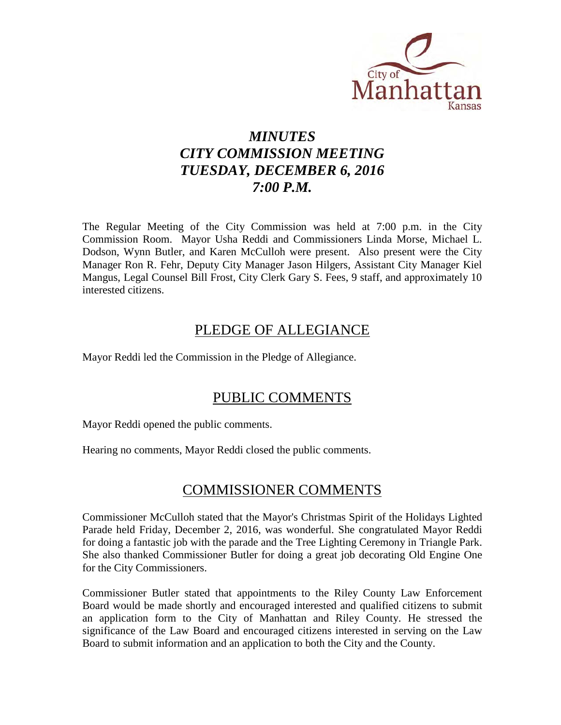

# *MINUTES CITY COMMISSION MEETING TUESDAY, DECEMBER 6, 2016 7:00 P.M.*

The Regular Meeting of the City Commission was held at 7:00 p.m. in the City Commission Room. Mayor Usha Reddi and Commissioners Linda Morse, Michael L. Dodson, Wynn Butler, and Karen McCulloh were present. Also present were the City Manager Ron R. Fehr, Deputy City Manager Jason Hilgers, Assistant City Manager Kiel Mangus, Legal Counsel Bill Frost, City Clerk Gary S. Fees, 9 staff, and approximately 10 interested citizens.

# PLEDGE OF ALLEGIANCE

Mayor Reddi led the Commission in the Pledge of Allegiance.

# PUBLIC COMMENTS

Mayor Reddi opened the public comments.

Hearing no comments, Mayor Reddi closed the public comments.

# COMMISSIONER COMMENTS

Commissioner McCulloh stated that the Mayor's Christmas Spirit of the Holidays Lighted Parade held Friday, December 2, 2016, was wonderful. She congratulated Mayor Reddi for doing a fantastic job with the parade and the Tree Lighting Ceremony in Triangle Park. She also thanked Commissioner Butler for doing a great job decorating Old Engine One for the City Commissioners.

Commissioner Butler stated that appointments to the Riley County Law Enforcement Board would be made shortly and encouraged interested and qualified citizens to submit an application form to the City of Manhattan and Riley County. He stressed the significance of the Law Board and encouraged citizens interested in serving on the Law Board to submit information and an application to both the City and the County.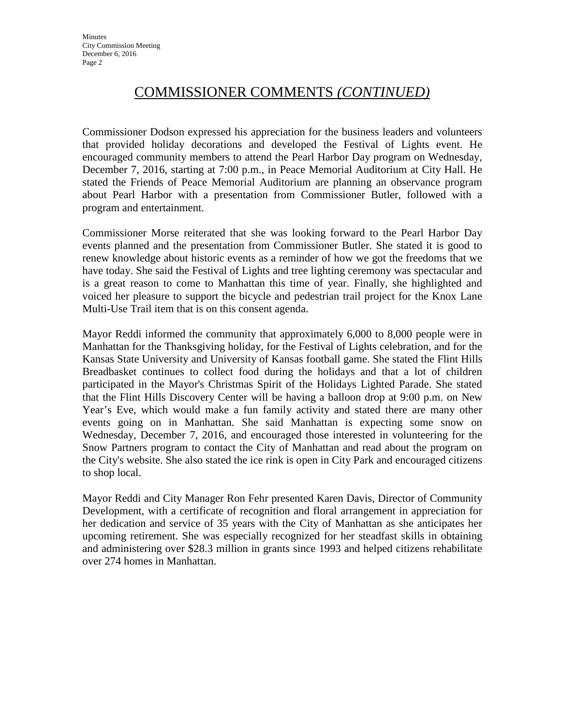# COMMISSIONER COMMENTS *(CONTINUED)*

Commissioner Dodson expressed his appreciation for the business leaders and volunteers that provided holiday decorations and developed the Festival of Lights event. He encouraged community members to attend the Pearl Harbor Day program on Wednesday, December 7, 2016, starting at 7:00 p.m., in Peace Memorial Auditorium at City Hall. He stated the Friends of Peace Memorial Auditorium are planning an observance program about Pearl Harbor with a presentation from Commissioner Butler, followed with a program and entertainment.

Commissioner Morse reiterated that she was looking forward to the Pearl Harbor Day events planned and the presentation from Commissioner Butler. She stated it is good to renew knowledge about historic events as a reminder of how we got the freedoms that we have today. She said the Festival of Lights and tree lighting ceremony was spectacular and is a great reason to come to Manhattan this time of year. Finally, she highlighted and voiced her pleasure to support the bicycle and pedestrian trail project for the Knox Lane Multi-Use Trail item that is on this consent agenda.

Mayor Reddi informed the community that approximately 6,000 to 8,000 people were in Manhattan for the Thanksgiving holiday, for the Festival of Lights celebration, and for the Kansas State University and University of Kansas football game. She stated the Flint Hills Breadbasket continues to collect food during the holidays and that a lot of children participated in the Mayor's Christmas Spirit of the Holidays Lighted Parade. She stated that the Flint Hills Discovery Center will be having a balloon drop at 9:00 p.m. on New Year's Eve, which would make a fun family activity and stated there are many other events going on in Manhattan. She said Manhattan is expecting some snow on Wednesday, December 7, 2016, and encouraged those interested in volunteering for the Snow Partners program to contact the City of Manhattan and read about the program on the City's website. She also stated the ice rink is open in City Park and encouraged citizens to shop local.

Mayor Reddi and City Manager Ron Fehr presented Karen Davis, Director of Community Development, with a certificate of recognition and floral arrangement in appreciation for her dedication and service of 35 years with the City of Manhattan as she anticipates her upcoming retirement. She was especially recognized for her steadfast skills in obtaining and administering over \$28.3 million in grants since 1993 and helped citizens rehabilitate over 274 homes in Manhattan.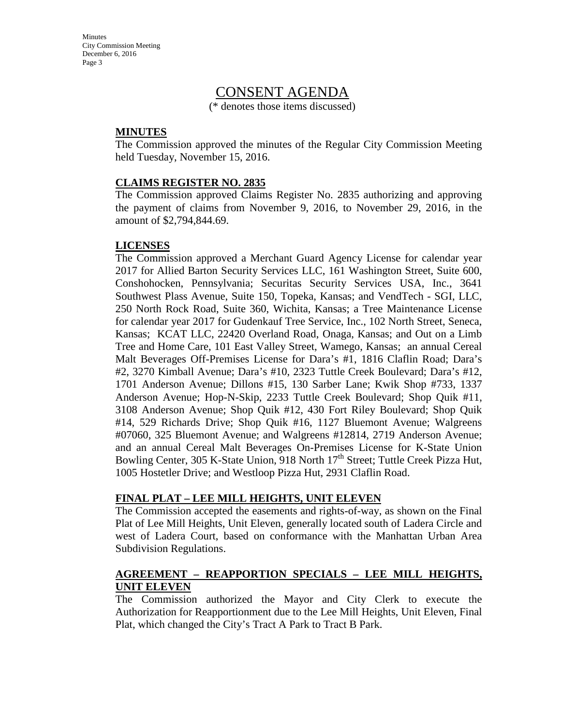Minutes City Commission Meeting December 6, 2016 Page 3

## CONSENT AGENDA

(\* denotes those items discussed)

#### **MINUTES**

The Commission approved the minutes of the Regular City Commission Meeting held Tuesday, November 15, 2016.

#### **CLAIMS REGISTER NO. 2835**

The Commission approved Claims Register No. 2835 authorizing and approving the payment of claims from November 9, 2016, to November 29, 2016, in the amount of \$2,794,844.69.

#### **LICENSES**

The Commission approved a Merchant Guard Agency License for calendar year 2017 for Allied Barton Security Services LLC, 161 Washington Street, Suite 600, Conshohocken, Pennsylvania; Securitas Security Services USA, Inc., 3641 Southwest Plass Avenue, Suite 150, Topeka, Kansas; and VendTech - SGI, LLC, 250 North Rock Road, Suite 360, Wichita, Kansas; a Tree Maintenance License for calendar year 2017 for Gudenkauf Tree Service, Inc., 102 North Street, Seneca, Kansas; KCAT LLC, 22420 Overland Road, Onaga, Kansas; and Out on a Limb Tree and Home Care, 101 East Valley Street, Wamego, Kansas; an annual Cereal Malt Beverages Off-Premises License for Dara's #1, 1816 Claflin Road; Dara's #2, 3270 Kimball Avenue; Dara's #10, 2323 Tuttle Creek Boulevard; Dara's #12, 1701 Anderson Avenue; Dillons #15, 130 Sarber Lane; Kwik Shop #733, 1337 Anderson Avenue; Hop-N-Skip, 2233 Tuttle Creek Boulevard; Shop Quik #11, 3108 Anderson Avenue; Shop Quik #12, 430 Fort Riley Boulevard; Shop Quik #14, 529 Richards Drive; Shop Quik #16, 1127 Bluemont Avenue; Walgreens #07060, 325 Bluemont Avenue; and Walgreens #12814, 2719 Anderson Avenue; and an annual Cereal Malt Beverages On-Premises License for K-State Union Bowling Center, 305 K-State Union, 918 North 17<sup>th</sup> Street; Tuttle Creek Pizza Hut, 1005 Hostetler Drive; and Westloop Pizza Hut, 2931 Claflin Road.

#### **FINAL PLAT – LEE MILL HEIGHTS, UNIT ELEVEN**

The Commission accepted the easements and rights-of-way, as shown on the Final Plat of Lee Mill Heights, Unit Eleven, generally located south of Ladera Circle and west of Ladera Court, based on conformance with the Manhattan Urban Area Subdivision Regulations.

#### **AGREEMENT – REAPPORTION SPECIALS – LEE MILL HEIGHTS, UNIT ELEVEN**

The Commission authorized the Mayor and City Clerk to execute the Authorization for Reapportionment due to the Lee Mill Heights, Unit Eleven, Final Plat, which changed the City's Tract A Park to Tract B Park.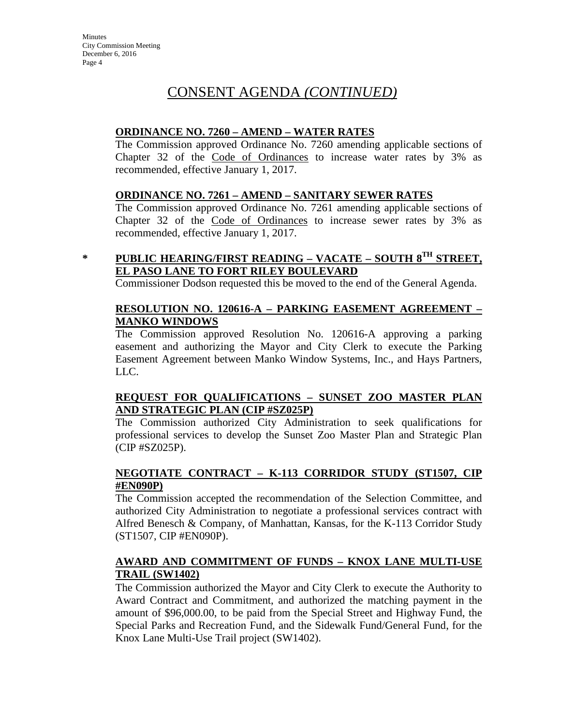#### **ORDINANCE NO. 7260 – AMEND – WATER RATES**

The Commission approved Ordinance No. 7260 amending applicable sections of Chapter 32 of the Code of Ordinances to increase water rates by 3% as recommended, effective January 1, 2017.

#### **ORDINANCE NO. 7261 – AMEND – SANITARY SEWER RATES**

The Commission approved Ordinance No. 7261 amending applicable sections of Chapter 32 of the Code of Ordinances to increase sewer rates by 3% as recommended, effective January 1, 2017.

## **\* PUBLIC HEARING/FIRST READING – VACATE – SOUTH 8TH STREET, EL PASO LANE TO FORT RILEY BOULEVARD**

Commissioner Dodson requested this be moved to the end of the General Agenda.

#### **RESOLUTION NO. 120616-A – PARKING EASEMENT AGREEMENT – MANKO WINDOWS**

The Commission approved Resolution No. 120616-A approving a parking easement and authorizing the Mayor and City Clerk to execute the Parking Easement Agreement between Manko Window Systems, Inc., and Hays Partners, LLC.

#### **REQUEST FOR QUALIFICATIONS – SUNSET ZOO MASTER PLAN AND STRATEGIC PLAN (CIP #SZ025P)**

The Commission authorized City Administration to seek qualifications for professional services to develop the Sunset Zoo Master Plan and Strategic Plan (CIP #SZ025P).

#### **NEGOTIATE CONTRACT – K-113 CORRIDOR STUDY (ST1507, CIP #EN090P)**

The Commission accepted the recommendation of the Selection Committee, and authorized City Administration to negotiate a professional services contract with Alfred Benesch & Company, of Manhattan, Kansas, for the K-113 Corridor Study (ST1507, CIP #EN090P).

#### **AWARD AND COMMITMENT OF FUNDS – KNOX LANE MULTI-USE TRAIL (SW1402)**

The Commission authorized the Mayor and City Clerk to execute the Authority to Award Contract and Commitment, and authorized the matching payment in the amount of \$96,000.00, to be paid from the Special Street and Highway Fund, the Special Parks and Recreation Fund, and the Sidewalk Fund/General Fund, for the Knox Lane Multi-Use Trail project (SW1402).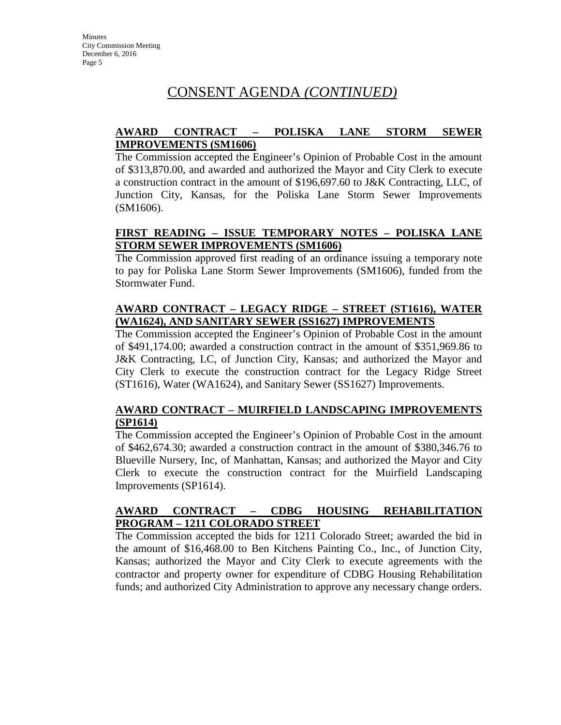#### **AWARD CONTRACT – POLISKA LANE STORM SEWER IMPROVEMENTS (SM1606)**

The Commission accepted the Engineer's Opinion of Probable Cost in the amount of \$313,870.00, and awarded and authorized the Mayor and City Clerk to execute a construction contract in the amount of \$196,697.60 to J&K Contracting, LLC, of Junction City, Kansas, for the Poliska Lane Storm Sewer Improvements (SM1606).

#### **FIRST READING – ISSUE TEMPORARY NOTES – POLISKA LANE STORM SEWER IMPROVEMENTS (SM1606)**

The Commission approved first reading of an ordinance issuing a temporary note to pay for Poliska Lane Storm Sewer Improvements (SM1606), funded from the Stormwater Fund.

#### **AWARD CONTRACT – LEGACY RIDGE – STREET (ST1616), WATER (WA1624), AND SANITARY SEWER (SS1627) IMPROVEMENTS**

The Commission accepted the Engineer's Opinion of Probable Cost in the amount of \$491,174.00; awarded a construction contract in the amount of \$351,969.86 to J&K Contracting, LC, of Junction City, Kansas; and authorized the Mayor and City Clerk to execute the construction contract for the Legacy Ridge Street (ST1616), Water (WA1624), and Sanitary Sewer (SS1627) Improvements.

## **AWARD CONTRACT – MUIRFIELD LANDSCAPING IMPROVEMENTS (SP1614)**

The Commission accepted the Engineer's Opinion of Probable Cost in the amount of \$462,674.30; awarded a construction contract in the amount of \$380,346.76 to Blueville Nursery, Inc, of Manhattan, Kansas; and authorized the Mayor and City Clerk to execute the construction contract for the Muirfield Landscaping Improvements (SP1614).

#### **AWARD CONTRACT – CDBG HOUSING REHABILITATION PROGRAM – 1211 COLORADO STREET**

The Commission accepted the bids for 1211 Colorado Street; awarded the bid in the amount of \$16,468.00 to Ben Kitchens Painting Co., Inc., of Junction City, Kansas; authorized the Mayor and City Clerk to execute agreements with the contractor and property owner for expenditure of CDBG Housing Rehabilitation funds; and authorized City Administration to approve any necessary change orders.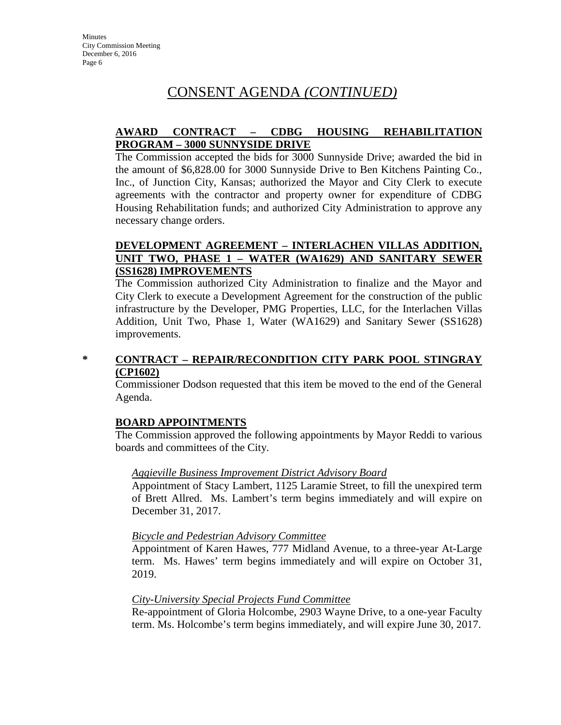#### **AWARD CONTRACT – CDBG HOUSING REHABILITATION PROGRAM – 3000 SUNNYSIDE DRIVE**

The Commission accepted the bids for 3000 Sunnyside Drive; awarded the bid in the amount of \$6,828.00 for 3000 Sunnyside Drive to Ben Kitchens Painting Co., Inc., of Junction City, Kansas; authorized the Mayor and City Clerk to execute agreements with the contractor and property owner for expenditure of CDBG Housing Rehabilitation funds; and authorized City Administration to approve any necessary change orders.

#### **DEVELOPMENT AGREEMENT – INTERLACHEN VILLAS ADDITION, UNIT TWO, PHASE 1 – WATER (WA1629) AND SANITARY SEWER (SS1628) IMPROVEMENTS**

The Commission authorized City Administration to finalize and the Mayor and City Clerk to execute a Development Agreement for the construction of the public infrastructure by the Developer, PMG Properties, LLC, for the Interlachen Villas Addition, Unit Two, Phase 1, Water (WA1629) and Sanitary Sewer (SS1628) improvements.

#### **\* CONTRACT – REPAIR/RECONDITION CITY PARK POOL STINGRAY (CP1602)**

Commissioner Dodson requested that this item be moved to the end of the General Agenda.

## **BOARD APPOINTMENTS**

The Commission approved the following appointments by Mayor Reddi to various boards and committees of the City.

#### *Aggieville Business Improvement District Advisory Board*

Appointment of Stacy Lambert, 1125 Laramie Street, to fill the unexpired term of Brett Allred. Ms. Lambert's term begins immediately and will expire on December 31, 2017.

#### *Bicycle and Pedestrian Advisory Committee*

Appointment of Karen Hawes, 777 Midland Avenue, to a three-year At-Large term. Ms. Hawes' term begins immediately and will expire on October 31, 2019.

#### *City-University Special Projects Fund Committee*

Re-appointment of Gloria Holcombe, 2903 Wayne Drive, to a one-year Faculty term. Ms. Holcombe's term begins immediately, and will expire June 30, 2017.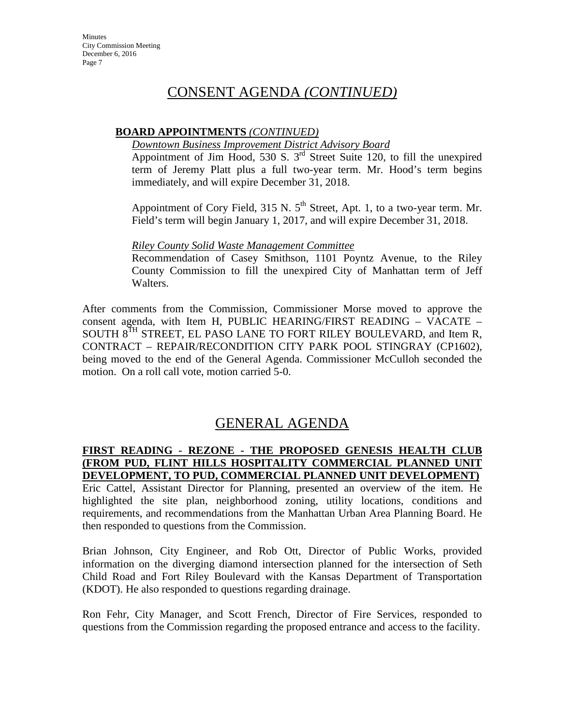#### **BOARD APPOINTMENTS** *(CONTINUED)*

#### *Downtown Business Improvement District Advisory Board*

Appointment of Jim Hood, 530 S.  $3<sup>rd</sup>$  Street Suite 120, to fill the unexpired term of Jeremy Platt plus a full two-year term. Mr. Hood's term begins immediately, and will expire December 31, 2018.

Appointment of Cory Field, 315 N.  $5<sup>th</sup>$  Street, Apt. 1, to a two-year term. Mr. Field's term will begin January 1, 2017, and will expire December 31, 2018.

#### *Riley County Solid Waste Management Committee*

Recommendation of Casey Smithson, 1101 Poyntz Avenue, to the Riley County Commission to fill the unexpired City of Manhattan term of Jeff Walters.

After comments from the Commission, Commissioner Morse moved to approve the consent agenda, with Item H, PUBLIC HEARING/FIRST READING – VACATE – SOUTH 8TH STREET, EL PASO LANE TO FORT RILEY BOULEVARD, and Item R, CONTRACT – REPAIR/RECONDITION CITY PARK POOL STINGRAY (CP1602), being moved to the end of the General Agenda. Commissioner McCulloh seconded the motion. On a roll call vote, motion carried 5-0.

# GENERAL AGENDA

#### **FIRST READING - REZONE - THE PROPOSED GENESIS HEALTH CLUB (FROM PUD, FLINT HILLS HOSPITALITY COMMERCIAL PLANNED UNIT DEVELOPMENT, TO PUD, COMMERCIAL PLANNED UNIT DEVELOPMENT)**

Eric Cattel, Assistant Director for Planning, presented an overview of the item. He highlighted the site plan, neighborhood zoning, utility locations, conditions and requirements, and recommendations from the Manhattan Urban Area Planning Board. He then responded to questions from the Commission.

Brian Johnson, City Engineer, and Rob Ott, Director of Public Works, provided information on the diverging diamond intersection planned for the intersection of Seth Child Road and Fort Riley Boulevard with the Kansas Department of Transportation (KDOT). He also responded to questions regarding drainage.

Ron Fehr, City Manager, and Scott French, Director of Fire Services, responded to questions from the Commission regarding the proposed entrance and access to the facility.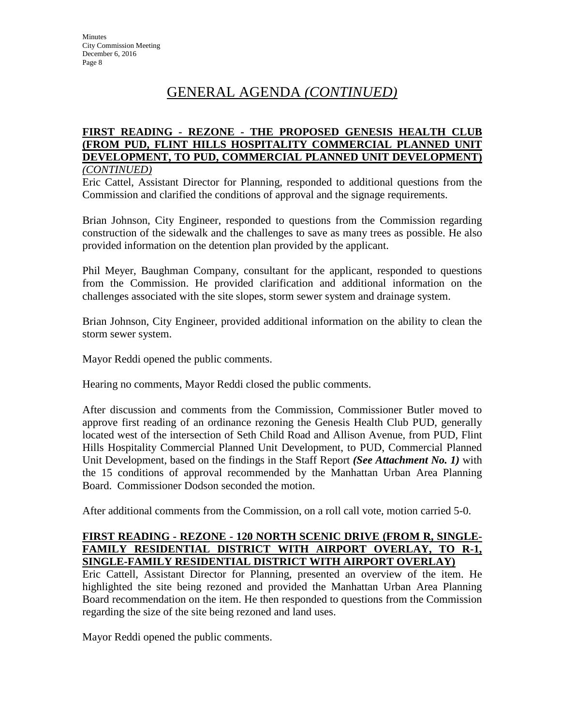# GENERAL AGENDA *(CONTINUED)*

#### **FIRST READING - REZONE - THE PROPOSED GENESIS HEALTH CLUB (FROM PUD, FLINT HILLS HOSPITALITY COMMERCIAL PLANNED UNIT DEVELOPMENT, TO PUD, COMMERCIAL PLANNED UNIT DEVELOPMENT)** *(CONTINUED)*

Eric Cattel, Assistant Director for Planning, responded to additional questions from the Commission and clarified the conditions of approval and the signage requirements.

Brian Johnson, City Engineer, responded to questions from the Commission regarding construction of the sidewalk and the challenges to save as many trees as possible. He also provided information on the detention plan provided by the applicant.

Phil Meyer, Baughman Company, consultant for the applicant, responded to questions from the Commission. He provided clarification and additional information on the challenges associated with the site slopes, storm sewer system and drainage system.

Brian Johnson, City Engineer, provided additional information on the ability to clean the storm sewer system.

Mayor Reddi opened the public comments.

Hearing no comments, Mayor Reddi closed the public comments.

After discussion and comments from the Commission, Commissioner Butler moved to approve first reading of an ordinance rezoning the Genesis Health Club PUD, generally located west of the intersection of Seth Child Road and Allison Avenue, from PUD, Flint Hills Hospitality Commercial Planned Unit Development, to PUD, Commercial Planned Unit Development, based on the findings in the Staff Report *(See Attachment No. 1)* with the 15 conditions of approval recommended by the Manhattan Urban Area Planning Board. Commissioner Dodson seconded the motion.

After additional comments from the Commission, on a roll call vote, motion carried 5-0.

#### **FIRST READING - REZONE - 120 NORTH SCENIC DRIVE (FROM R, SINGLE-FAMILY RESIDENTIAL DISTRICT WITH AIRPORT OVERLAY, TO R-1, SINGLE-FAMILY RESIDENTIAL DISTRICT WITH AIRPORT OVERLAY)**

Eric Cattell, Assistant Director for Planning, presented an overview of the item. He highlighted the site being rezoned and provided the Manhattan Urban Area Planning Board recommendation on the item. He then responded to questions from the Commission regarding the size of the site being rezoned and land uses.

Mayor Reddi opened the public comments.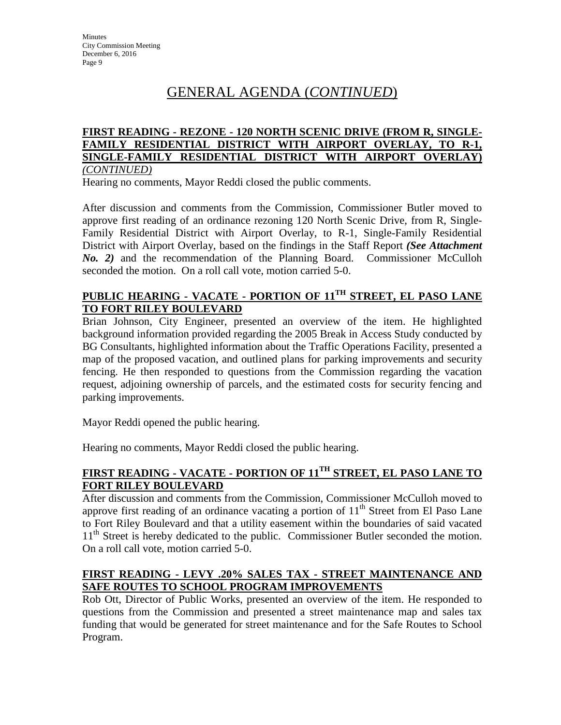# GENERAL AGENDA (*CONTINUED*)

#### **FIRST READING - REZONE - 120 NORTH SCENIC DRIVE (FROM R, SINGLE-FAMILY RESIDENTIAL DISTRICT WITH AIRPORT OVERLAY, TO R-1, SINGLE-FAMILY RESIDENTIAL DISTRICT WITH AIRPORT OVERLAY)** *(CONTINUED)*

Hearing no comments, Mayor Reddi closed the public comments.

After discussion and comments from the Commission, Commissioner Butler moved to approve first reading of an ordinance rezoning 120 North Scenic Drive, from R, Single-Family Residential District with Airport Overlay, to R-1, Single-Family Residential District with Airport Overlay, based on the findings in the Staff Report *(See Attachment No. 2)* and the recommendation of the Planning Board. Commissioner McCulloh seconded the motion. On a roll call vote, motion carried 5-0.

## **PUBLIC HEARING - VACATE - PORTION OF 11TH STREET, EL PASO LANE TO FORT RILEY BOULEVARD**

Brian Johnson, City Engineer, presented an overview of the item. He highlighted background information provided regarding the 2005 Break in Access Study conducted by BG Consultants, highlighted information about the Traffic Operations Facility, presented a map of the proposed vacation, and outlined plans for parking improvements and security fencing. He then responded to questions from the Commission regarding the vacation request, adjoining ownership of parcels, and the estimated costs for security fencing and parking improvements.

Mayor Reddi opened the public hearing.

Hearing no comments, Mayor Reddi closed the public hearing.

## **FIRST READING - VACATE - PORTION OF 11TH STREET, EL PASO LANE TO FORT RILEY BOULEVARD**

After discussion and comments from the Commission, Commissioner McCulloh moved to approve first reading of an ordinance vacating a portion of  $11<sup>th</sup>$  Street from El Paso Lane to Fort Riley Boulevard and that a utility easement within the boundaries of said vacated 11<sup>th</sup> Street is hereby dedicated to the public. Commissioner Butler seconded the motion. On a roll call vote, motion carried 5-0.

#### **FIRST READING - LEVY .20% SALES TAX - STREET MAINTENANCE AND SAFE ROUTES TO SCHOOL PROGRAM IMPROVEMENTS**

Rob Ott, Director of Public Works, presented an overview of the item. He responded to questions from the Commission and presented a street maintenance map and sales tax funding that would be generated for street maintenance and for the Safe Routes to School Program.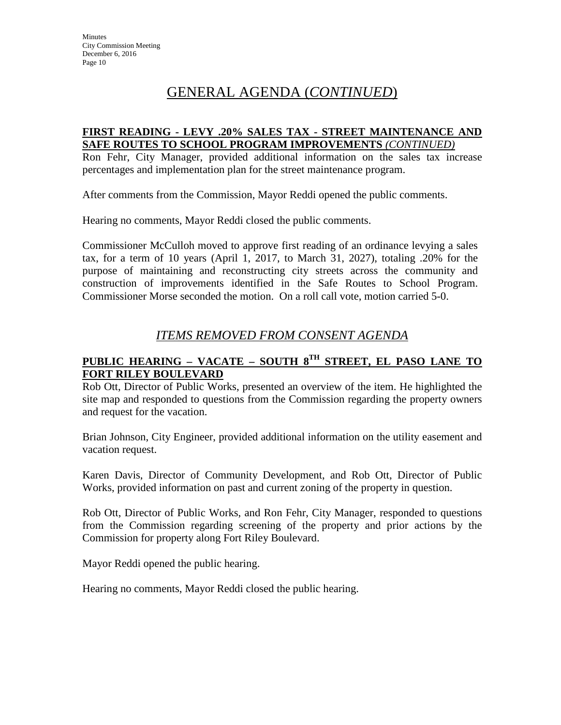# GENERAL AGENDA (*CONTINUED*)

#### **FIRST READING - LEVY .20% SALES TAX - STREET MAINTENANCE AND SAFE ROUTES TO SCHOOL PROGRAM IMPROVEMENTS** *(CONTINUED)*

Ron Fehr, City Manager, provided additional information on the sales tax increase percentages and implementation plan for the street maintenance program.

After comments from the Commission, Mayor Reddi opened the public comments.

Hearing no comments, Mayor Reddi closed the public comments.

Commissioner McCulloh moved to approve first reading of an ordinance levying a sales tax, for a term of 10 years (April 1, 2017, to March 31, 2027), totaling .20% for the purpose of maintaining and reconstructing city streets across the community and construction of improvements identified in the Safe Routes to School Program. Commissioner Morse seconded the motion. On a roll call vote, motion carried 5-0.

## *ITEMS REMOVED FROM CONSENT AGENDA*

## **PUBLIC HEARING – VACATE – SOUTH 8TH STREET, EL PASO LANE TO FORT RILEY BOULEVARD**

Rob Ott, Director of Public Works, presented an overview of the item. He highlighted the site map and responded to questions from the Commission regarding the property owners and request for the vacation.

Brian Johnson, City Engineer, provided additional information on the utility easement and vacation request.

Karen Davis, Director of Community Development, and Rob Ott, Director of Public Works, provided information on past and current zoning of the property in question.

Rob Ott, Director of Public Works, and Ron Fehr, City Manager, responded to questions from the Commission regarding screening of the property and prior actions by the Commission for property along Fort Riley Boulevard.

Mayor Reddi opened the public hearing.

Hearing no comments, Mayor Reddi closed the public hearing.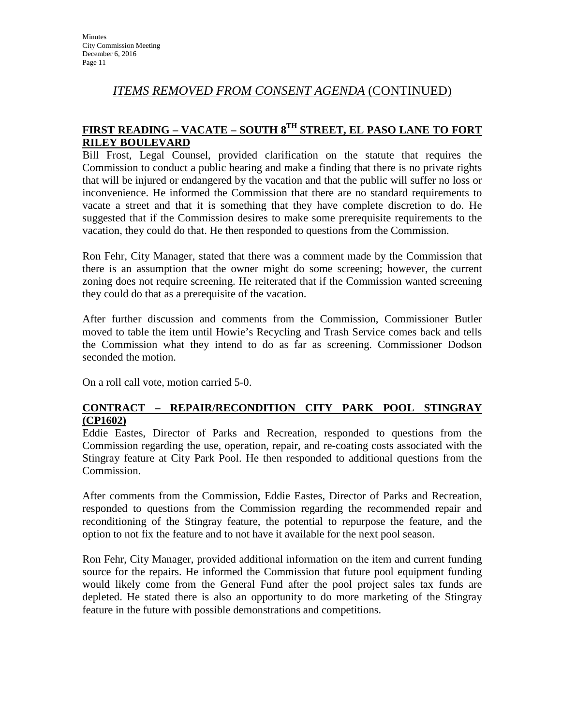## *ITEMS REMOVED FROM CONSENT AGENDA* (CONTINUED)

## **FIRST READING – VACATE – SOUTH 8TH STREET, EL PASO LANE TO FORT RILEY BOULEVARD**

Bill Frost, Legal Counsel, provided clarification on the statute that requires the Commission to conduct a public hearing and make a finding that there is no private rights that will be injured or endangered by the vacation and that the public will suffer no loss or inconvenience. He informed the Commission that there are no standard requirements to vacate a street and that it is something that they have complete discretion to do. He suggested that if the Commission desires to make some prerequisite requirements to the vacation, they could do that. He then responded to questions from the Commission.

Ron Fehr, City Manager, stated that there was a comment made by the Commission that there is an assumption that the owner might do some screening; however, the current zoning does not require screening. He reiterated that if the Commission wanted screening they could do that as a prerequisite of the vacation.

After further discussion and comments from the Commission, Commissioner Butler moved to table the item until Howie's Recycling and Trash Service comes back and tells the Commission what they intend to do as far as screening. Commissioner Dodson seconded the motion.

On a roll call vote, motion carried 5-0.

#### **CONTRACT – REPAIR/RECONDITION CITY PARK POOL STINGRAY (CP1602)**

Eddie Eastes, Director of Parks and Recreation, responded to questions from the Commission regarding the use, operation, repair, and re-coating costs associated with the Stingray feature at City Park Pool. He then responded to additional questions from the Commission.

After comments from the Commission, Eddie Eastes, Director of Parks and Recreation, responded to questions from the Commission regarding the recommended repair and reconditioning of the Stingray feature, the potential to repurpose the feature, and the option to not fix the feature and to not have it available for the next pool season.

Ron Fehr, City Manager, provided additional information on the item and current funding source for the repairs. He informed the Commission that future pool equipment funding would likely come from the General Fund after the pool project sales tax funds are depleted. He stated there is also an opportunity to do more marketing of the Stingray feature in the future with possible demonstrations and competitions.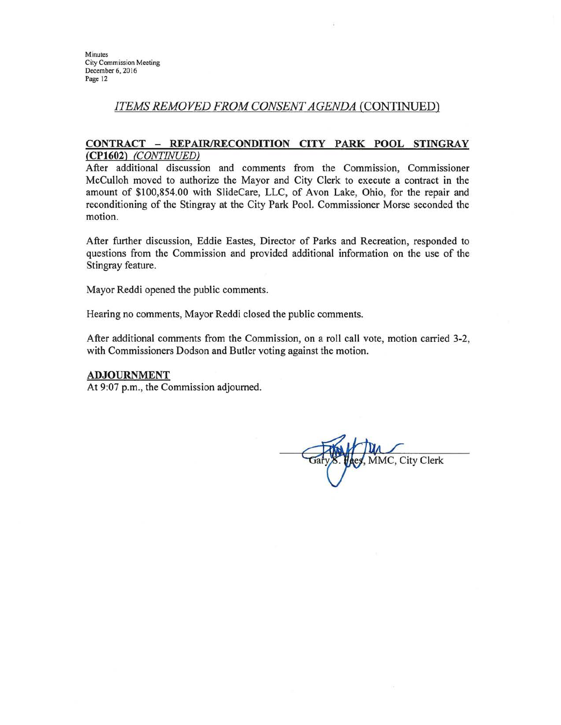#### ITEMS REMOVED FROM CONSENT AGENDA (CONTINUED)

#### CONTRACT - REPAIR/RECONDITION CITY PARK POOL STINGRAY (CP1602) (CONTINUED)

After additional discussion and comments from the Commission, Commissioner McCulloh moved to authorize the Mayor and City Clerk to execute a contract in the amount of \$100,854.00 with SlideCare, LLC, of Avon Lake, Ohio, for the repair and reconditioning of the Stingray at the City Park Pool. Commissioner Morse seconded the motion.

After further discussion, Eddie Eastes, Director of Parks and Recreation, responded to questions from the Commission and provided additional information on the use of the Stingray feature.

Mayor Reddi opened the public comments.

Hearing no comments, Mayor Reddi closed the public comments.

After additional comments from the Commission, on a roll call vote, motion carried 3-2, with Commissioners Dodson and Butler voting against the motion.

#### **ADJOURNMENT**

At 9:07 p.m., the Commission adjourned.

MMC, City Clerk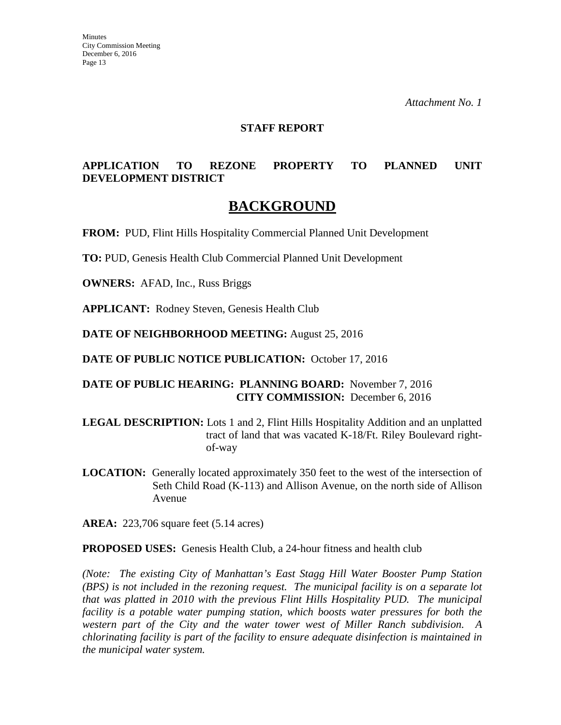#### **STAFF REPORT**

### **APPLICATION TO REZONE PROPERTY TO PLANNED UNIT DEVELOPMENT DISTRICT**

# **BACKGROUND**

**FROM:** PUD, Flint Hills Hospitality Commercial Planned Unit Development

**TO:** PUD, Genesis Health Club Commercial Planned Unit Development

**OWNERS:** AFAD, Inc., Russ Briggs

**APPLICANT:** Rodney Steven, Genesis Health Club

**DATE OF NEIGHBORHOOD MEETING:** August 25, 2016

**DATE OF PUBLIC NOTICE PUBLICATION:** October 17, 2016

#### **DATE OF PUBLIC HEARING: PLANNING BOARD:** November 7, 2016 **CITY COMMISSION:** December 6, 2016

**LEGAL DESCRIPTION:** Lots 1 and 2, Flint Hills Hospitality Addition and an unplatted tract of land that was vacated K-18/Ft. Riley Boulevard rightof-way

**LOCATION:** Generally located approximately 350 feet to the west of the intersection of Seth Child Road (K-113) and Allison Avenue, on the north side of Allison Avenue

**AREA:** 223,706 square feet (5.14 acres)

**PROPOSED USES:** Genesis Health Club, a 24-hour fitness and health club

*(Note: The existing City of Manhattan's East Stagg Hill Water Booster Pump Station (BPS) is not included in the rezoning request. The municipal facility is on a separate lot that was platted in 2010 with the previous Flint Hills Hospitality PUD. The municipal facility is a potable water pumping station, which boosts water pressures for both the western part of the City and the water tower west of Miller Ranch subdivision. A chlorinating facility is part of the facility to ensure adequate disinfection is maintained in the municipal water system.*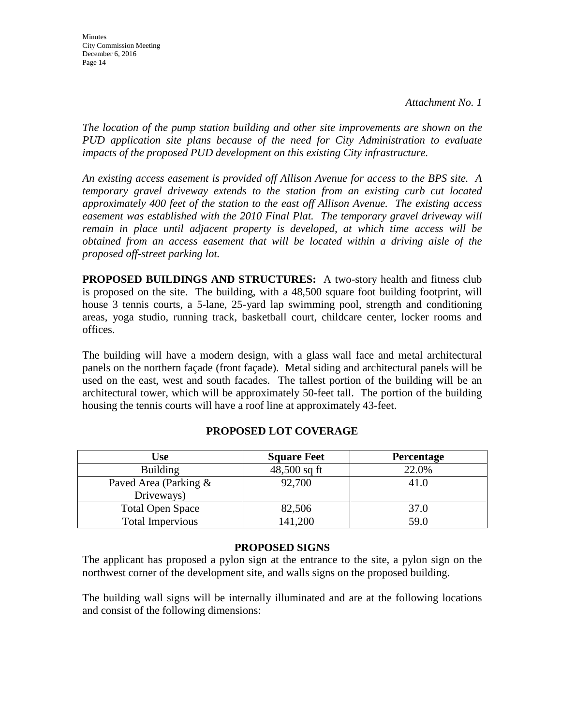*The location of the pump station building and other site improvements are shown on the PUD application site plans because of the need for City Administration to evaluate impacts of the proposed PUD development on this existing City infrastructure.* 

*An existing access easement is provided off Allison Avenue for access to the BPS site. A temporary gravel driveway extends to the station from an existing curb cut located approximately 400 feet of the station to the east off Allison Avenue. The existing access easement was established with the 2010 Final Plat. The temporary gravel driveway will remain in place until adjacent property is developed, at which time access will be obtained from an access easement that will be located within a driving aisle of the proposed off-street parking lot.* 

**PROPOSED BUILDINGS AND STRUCTURES:** A two-story health and fitness club is proposed on the site. The building, with a 48,500 square foot building footprint, will house 3 tennis courts, a 5-lane, 25-yard lap swimming pool, strength and conditioning areas, yoga studio, running track, basketball court, childcare center, locker rooms and offices.

The building will have a modern design, with a glass wall face and metal architectural panels on the northern façade (front façade). Metal siding and architectural panels will be used on the east, west and south facades. The tallest portion of the building will be an architectural tower, which will be approximately 50-feet tall. The portion of the building housing the tennis courts will have a roof line at approximately 43-feet.

| Use                                 | <b>Square Feet</b> | <b>Percentage</b> |
|-------------------------------------|--------------------|-------------------|
| <b>Building</b>                     | $48,500$ sq ft     | 22.0%             |
| Paved Area (Parking &<br>Driveways) | 92,700             | 41.0              |
| <b>Total Open Space</b>             | 82,506             | 37.0              |
| <b>Total Impervious</b>             | 141,200            | 59.0              |

## **PROPOSED LOT COVERAGE**

#### **PROPOSED SIGNS**

The applicant has proposed a pylon sign at the entrance to the site, a pylon sign on the northwest corner of the development site, and walls signs on the proposed building.

The building wall signs will be internally illuminated and are at the following locations and consist of the following dimensions: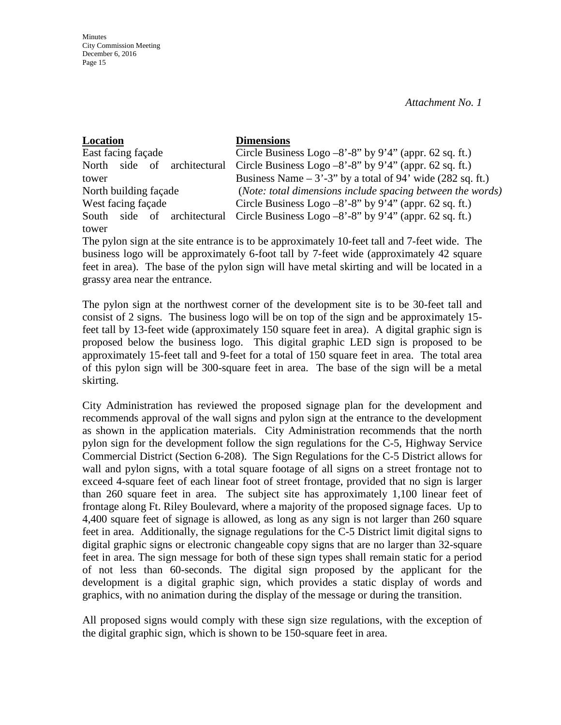| Location                             | <b>Dimensions</b>                                            |
|--------------------------------------|--------------------------------------------------------------|
| East facing façade                   | Circle Business Logo $-8'$ -8" by 9'4" (appr. 62 sq. ft.)    |
| side<br>architectural<br>of<br>North | Circle Business Logo $-8'$ -8" by 9'4" (appr. 62 sq. ft.)    |
| tower                                | Business Name $-3'$ -3" by a total of 94' wide (282 sq. ft.) |
| North building façade                | (Note: total dimensions include spacing between the words)   |
| West facing façade                   | Circle Business Logo $-8'$ -8" by 9'4" (appr. 62 sq. ft.)    |
| architectural<br>side of<br>South    | Circle Business Logo $-8'$ -8" by 9'4" (appr. 62 sq. ft.)    |
| tower                                |                                                              |

The pylon sign at the site entrance is to be approximately 10-feet tall and 7-feet wide. The business logo will be approximately 6-foot tall by 7-feet wide (approximately 42 square feet in area). The base of the pylon sign will have metal skirting and will be located in a grassy area near the entrance.

The pylon sign at the northwest corner of the development site is to be 30-feet tall and consist of 2 signs. The business logo will be on top of the sign and be approximately 15 feet tall by 13-feet wide (approximately 150 square feet in area). A digital graphic sign is proposed below the business logo. This digital graphic LED sign is proposed to be approximately 15-feet tall and 9-feet for a total of 150 square feet in area. The total area of this pylon sign will be 300-square feet in area. The base of the sign will be a metal skirting.

City Administration has reviewed the proposed signage plan for the development and recommends approval of the wall signs and pylon sign at the entrance to the development as shown in the application materials. City Administration recommends that the north pylon sign for the development follow the sign regulations for the C-5, Highway Service Commercial District (Section 6-208). The Sign Regulations for the C-5 District allows for wall and pylon signs, with a total square footage of all signs on a street frontage not to exceed 4-square feet of each linear foot of street frontage, provided that no sign is larger than 260 square feet in area. The subject site has approximately 1,100 linear feet of frontage along Ft. Riley Boulevard, where a majority of the proposed signage faces. Up to 4,400 square feet of signage is allowed, as long as any sign is not larger than 260 square feet in area. Additionally, the signage regulations for the C-5 District limit digital signs to digital graphic signs or electronic changeable copy signs that are no larger than 32-square feet in area. The sign message for both of these sign types shall remain static for a period of not less than 60-seconds. The digital sign proposed by the applicant for the development is a digital graphic sign, which provides a static display of words and graphics, with no animation during the display of the message or during the transition.

All proposed signs would comply with these sign size regulations, with the exception of the digital graphic sign, which is shown to be 150-square feet in area.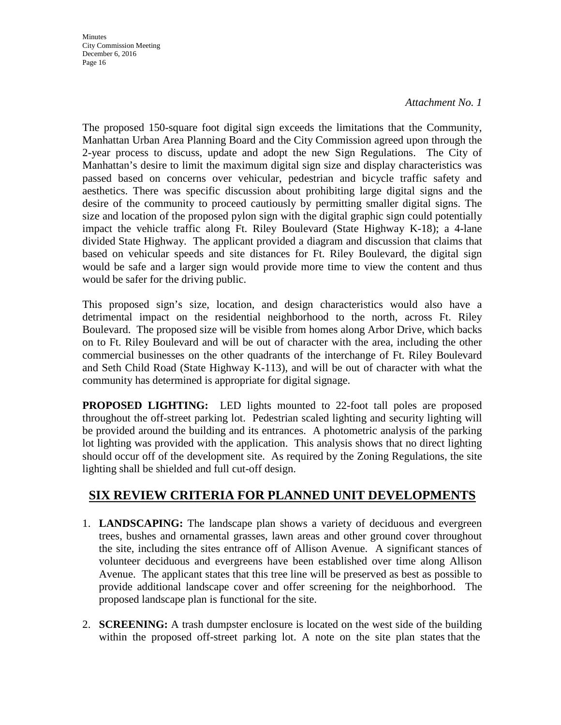**Minutes** City Commission Meeting December 6, 2016 Page 16

#### *Attachment No. 1*

The proposed 150-square foot digital sign exceeds the limitations that the Community, Manhattan Urban Area Planning Board and the City Commission agreed upon through the 2-year process to discuss, update and adopt the new Sign Regulations. The City of Manhattan's desire to limit the maximum digital sign size and display characteristics was passed based on concerns over vehicular, pedestrian and bicycle traffic safety and aesthetics. There was specific discussion about prohibiting large digital signs and the desire of the community to proceed cautiously by permitting smaller digital signs. The size and location of the proposed pylon sign with the digital graphic sign could potentially impact the vehicle traffic along Ft. Riley Boulevard (State Highway K-18); a 4-lane divided State Highway. The applicant provided a diagram and discussion that claims that based on vehicular speeds and site distances for Ft. Riley Boulevard, the digital sign would be safe and a larger sign would provide more time to view the content and thus would be safer for the driving public.

This proposed sign's size, location, and design characteristics would also have a detrimental impact on the residential neighborhood to the north, across Ft. Riley Boulevard. The proposed size will be visible from homes along Arbor Drive, which backs on to Ft. Riley Boulevard and will be out of character with the area, including the other commercial businesses on the other quadrants of the interchange of Ft. Riley Boulevard and Seth Child Road (State Highway K-113), and will be out of character with what the community has determined is appropriate for digital signage.

**PROPOSED LIGHTING:** LED lights mounted to 22-foot tall poles are proposed throughout the off-street parking lot. Pedestrian scaled lighting and security lighting will be provided around the building and its entrances. A photometric analysis of the parking lot lighting was provided with the application. This analysis shows that no direct lighting should occur off of the development site. As required by the Zoning Regulations, the site lighting shall be shielded and full cut-off design.

## **SIX REVIEW CRITERIA FOR PLANNED UNIT DEVELOPMENTS**

- 1. **LANDSCAPING:** The landscape plan shows a variety of deciduous and evergreen trees, bushes and ornamental grasses, lawn areas and other ground cover throughout the site, including the sites entrance off of Allison Avenue. A significant stances of volunteer deciduous and evergreens have been established over time along Allison Avenue. The applicant states that this tree line will be preserved as best as possible to provide additional landscape cover and offer screening for the neighborhood. The proposed landscape plan is functional for the site.
- 2. **SCREENING:** A trash dumpster enclosure is located on the west side of the building within the proposed off-street parking lot. A note on the site plan states that the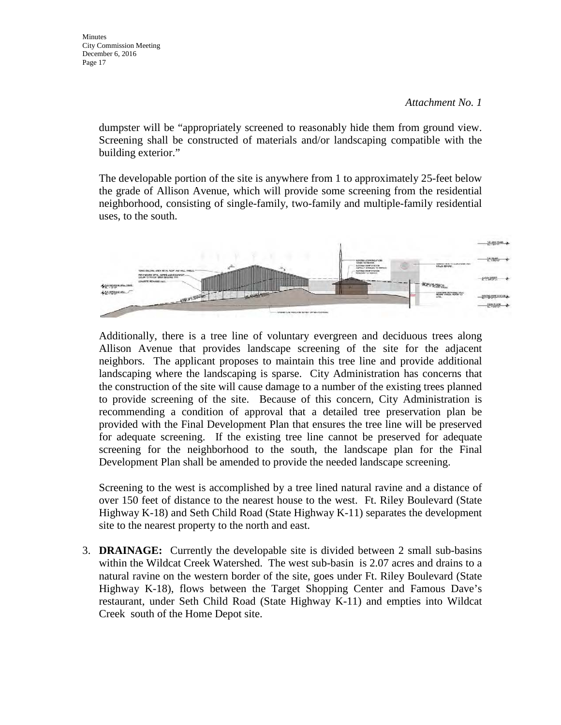dumpster will be "appropriately screened to reasonably hide them from ground view. Screening shall be constructed of materials and/or landscaping compatible with the building exterior."

The developable portion of the site is anywhere from 1 to approximately 25-feet below the grade of Allison Avenue, which will provide some screening from the residential neighborhood, consisting of single-family, two-family and multiple-family residential uses, to the south.



Additionally, there is a tree line of voluntary evergreen and deciduous trees along Allison Avenue that provides landscape screening of the site for the adjacent neighbors. The applicant proposes to maintain this tree line and provide additional landscaping where the landscaping is sparse. City Administration has concerns that the construction of the site will cause damage to a number of the existing trees planned to provide screening of the site. Because of this concern, City Administration is recommending a condition of approval that a detailed tree preservation plan be provided with the Final Development Plan that ensures the tree line will be preserved for adequate screening. If the existing tree line cannot be preserved for adequate screening for the neighborhood to the south, the landscape plan for the Final Development Plan shall be amended to provide the needed landscape screening.

Screening to the west is accomplished by a tree lined natural ravine and a distance of over 150 feet of distance to the nearest house to the west. Ft. Riley Boulevard (State Highway K-18) and Seth Child Road (State Highway K-11) separates the development site to the nearest property to the north and east.

3. **DRAINAGE:** Currently the developable site is divided between 2 small sub-basins within the Wildcat Creek Watershed. The west sub-basin is 2.07 acres and drains to a natural ravine on the western border of the site, goes under Ft. Riley Boulevard (State Highway K-18), flows between the Target Shopping Center and Famous Dave's restaurant, under Seth Child Road (State Highway K-11) and empties into Wildcat Creek south of the Home Depot site.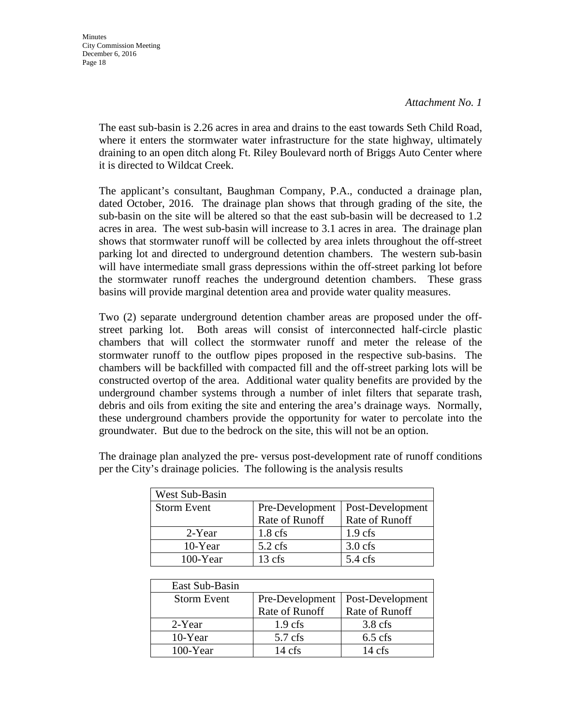The east sub-basin is 2.26 acres in area and drains to the east towards Seth Child Road, where it enters the stormwater water infrastructure for the state highway, ultimately draining to an open ditch along Ft. Riley Boulevard north of Briggs Auto Center where it is directed to Wildcat Creek.

The applicant's consultant, Baughman Company, P.A., conducted a drainage plan, dated October, 2016. The drainage plan shows that through grading of the site, the sub-basin on the site will be altered so that the east sub-basin will be decreased to 1.2 acres in area. The west sub-basin will increase to 3.1 acres in area. The drainage plan shows that stormwater runoff will be collected by area inlets throughout the off-street parking lot and directed to underground detention chambers. The western sub-basin will have intermediate small grass depressions within the off-street parking lot before the stormwater runoff reaches the underground detention chambers. These grass basins will provide marginal detention area and provide water quality measures.

Two (2) separate underground detention chamber areas are proposed under the offstreet parking lot. Both areas will consist of interconnected half-circle plastic chambers that will collect the stormwater runoff and meter the release of the stormwater runoff to the outflow pipes proposed in the respective sub-basins. The chambers will be backfilled with compacted fill and the off-street parking lots will be constructed overtop of the area. Additional water quality benefits are provided by the underground chamber systems through a number of inlet filters that separate trash, debris and oils from exiting the site and entering the area's drainage ways. Normally, these underground chambers provide the opportunity for water to percolate into the groundwater. But due to the bedrock on the site, this will not be an option.

| West Sub-Basin     |                   |                   |
|--------------------|-------------------|-------------------|
| <b>Storm Event</b> | Pre-Development   | Post-Development  |
|                    | Rate of Runoff    | Rate of Runoff    |
| 2-Year             | $1.8 \text{ cfs}$ | $1.9$ cfs         |
| 10-Year            | $5.2 \text{ cfs}$ | $3.0$ cfs         |
| $100$ -Year        | 13 cfs            | $5.4 \text{ cfs}$ |

The drainage plan analyzed the pre- versus post-development rate of runoff conditions per the City's drainage policies. The following is the analysis results

| East Sub-Basin     |                  |                  |  |
|--------------------|------------------|------------------|--|
| <b>Storm Event</b> | Pre-Development  | Post-Development |  |
|                    | Rate of Runoff   | Rate of Runoff   |  |
| 2-Year             | $1.9$ cfs        | $3.8$ cfs        |  |
| 10-Year            | $5.7$ cfs        | $6.5$ cfs        |  |
| $100$ -Year        | $14 \text{ cfs}$ | $14 \text{ cfs}$ |  |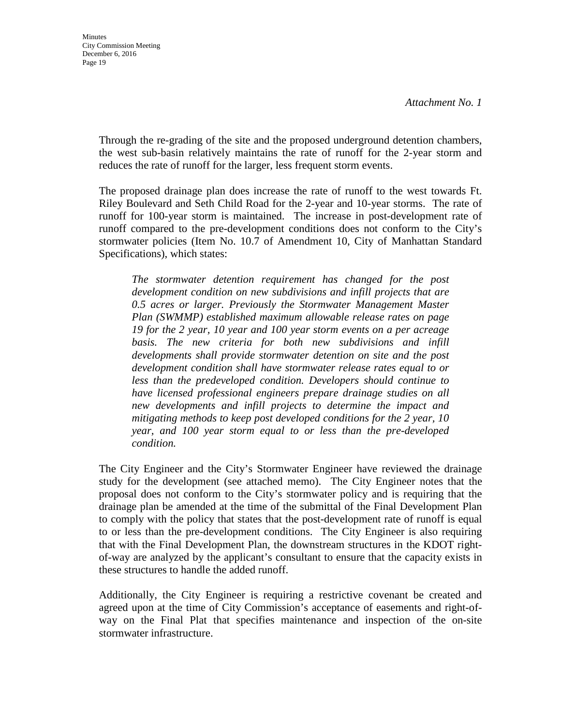Through the re-grading of the site and the proposed underground detention chambers, the west sub-basin relatively maintains the rate of runoff for the 2-year storm and reduces the rate of runoff for the larger, less frequent storm events.

The proposed drainage plan does increase the rate of runoff to the west towards Ft. Riley Boulevard and Seth Child Road for the 2-year and 10-year storms. The rate of runoff for 100-year storm is maintained. The increase in post-development rate of runoff compared to the pre-development conditions does not conform to the City's stormwater policies (Item No. 10.7 of Amendment 10, City of Manhattan Standard Specifications), which states:

*The stormwater detention requirement has changed for the post development condition on new subdivisions and infill projects that are 0.5 acres or larger. Previously the Stormwater Management Master Plan (SWMMP) established maximum allowable release rates on page 19 for the 2 year, 10 year and 100 year storm events on a per acreage basis. The new criteria for both new subdivisions and infill developments shall provide stormwater detention on site and the post development condition shall have stormwater release rates equal to or less than the predeveloped condition. Developers should continue to have licensed professional engineers prepare drainage studies on all new developments and infill projects to determine the impact and mitigating methods to keep post developed conditions for the 2 year, 10 year, and 100 year storm equal to or less than the pre-developed condition.* 

The City Engineer and the City's Stormwater Engineer have reviewed the drainage study for the development (see attached memo). The City Engineer notes that the proposal does not conform to the City's stormwater policy and is requiring that the drainage plan be amended at the time of the submittal of the Final Development Plan to comply with the policy that states that the post-development rate of runoff is equal to or less than the pre-development conditions. The City Engineer is also requiring that with the Final Development Plan, the downstream structures in the KDOT rightof-way are analyzed by the applicant's consultant to ensure that the capacity exists in these structures to handle the added runoff.

Additionally, the City Engineer is requiring a restrictive covenant be created and agreed upon at the time of City Commission's acceptance of easements and right-ofway on the Final Plat that specifies maintenance and inspection of the on-site stormwater infrastructure.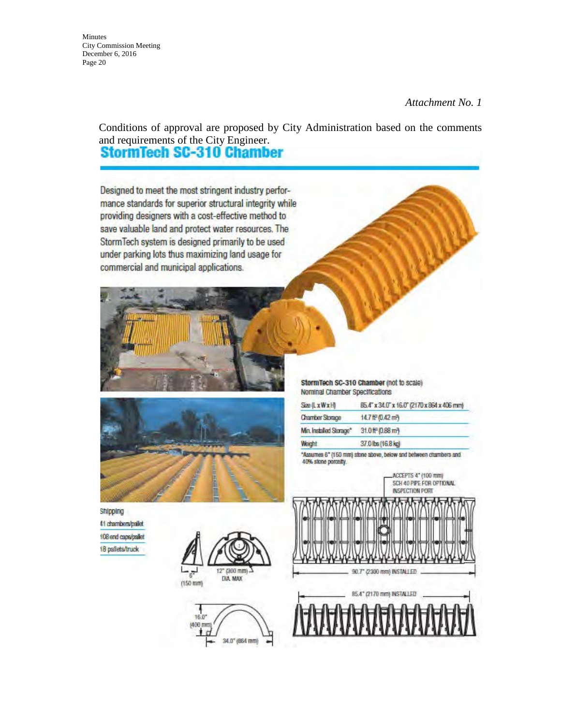Minutes City Commission Meeting December 6, 2016 Page 20

#### *Attachment No. 1*

Conditions of approval are proposed by City Administration based on the comments and requirements of the City Engineer.<br>**StormTech SC-310 Chamber** 

Designed to meet the most stringent industry performance standards for superior structural integrity while providing designers with a cost-effective method to save valuable land and protect water resources. The StormTech system is designed primarily to be used under parking lots thus maximizing land usage for commercial and municipal applications.



StormTech SC-310 Chamber (not to scale) Nominal Chamber Specifications

| <b>Size (LxWxH)</b>     | 85.4" x 34.0" x 16.0" (2170 x 864 x 406 mm) |
|-------------------------|---------------------------------------------|
| <b>Chamber Storage</b>  | 14.7 ft <sup>o</sup> (0.42 mm)              |
| Min. Installed Storage" | 31.0 ft <sup>r</sup> (0.88 mm)              |
| Weight                  | 37.0 bs (16.8 kg)                           |

"Assumes 6" (150 mm) stone above, below and between chambers and 40% stone porcetty.

> ACCEPTS 4" (100 mm) SCH 40 PIPE FOR OFTIONAL **INSPECTION PORT**

Shipping 41 chambers/paliet 108 end caps/pallet 18 pallets/truck





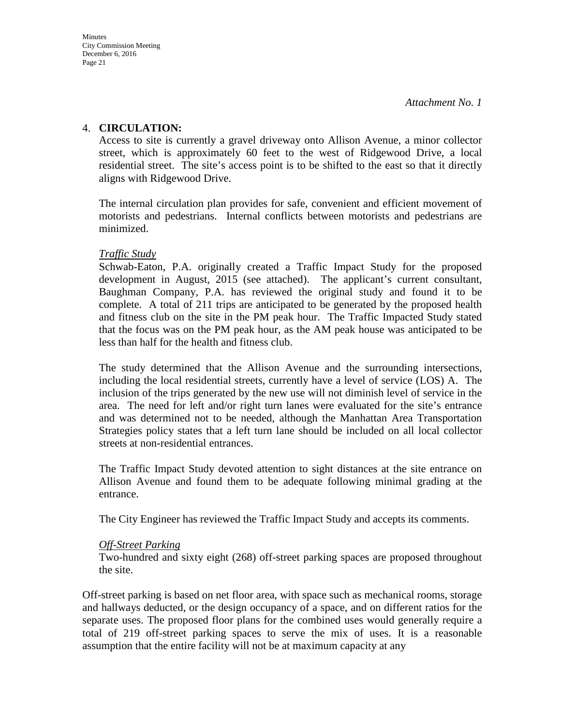#### 4. **CIRCULATION:**

Access to site is currently a gravel driveway onto Allison Avenue, a minor collector street, which is approximately 60 feet to the west of Ridgewood Drive, a local residential street. The site's access point is to be shifted to the east so that it directly aligns with Ridgewood Drive.

The internal circulation plan provides for safe, convenient and efficient movement of motorists and pedestrians. Internal conflicts between motorists and pedestrians are minimized.

#### *Traffic Study*

Schwab-Eaton, P.A. originally created a Traffic Impact Study for the proposed development in August, 2015 (see attached). The applicant's current consultant, Baughman Company, P.A. has reviewed the original study and found it to be complete. A total of 211 trips are anticipated to be generated by the proposed health and fitness club on the site in the PM peak hour. The Traffic Impacted Study stated that the focus was on the PM peak hour, as the AM peak house was anticipated to be less than half for the health and fitness club.

The study determined that the Allison Avenue and the surrounding intersections, including the local residential streets, currently have a level of service (LOS) A. The inclusion of the trips generated by the new use will not diminish level of service in the area. The need for left and/or right turn lanes were evaluated for the site's entrance and was determined not to be needed, although the Manhattan Area Transportation Strategies policy states that a left turn lane should be included on all local collector streets at non-residential entrances.

The Traffic Impact Study devoted attention to sight distances at the site entrance on Allison Avenue and found them to be adequate following minimal grading at the entrance.

The City Engineer has reviewed the Traffic Impact Study and accepts its comments.

#### *Off-Street Parking*

Two-hundred and sixty eight (268) off-street parking spaces are proposed throughout the site.

Off-street parking is based on net floor area, with space such as mechanical rooms, storage and hallways deducted, or the design occupancy of a space, and on different ratios for the separate uses. The proposed floor plans for the combined uses would generally require a total of 219 off-street parking spaces to serve the mix of uses. It is a reasonable assumption that the entire facility will not be at maximum capacity at any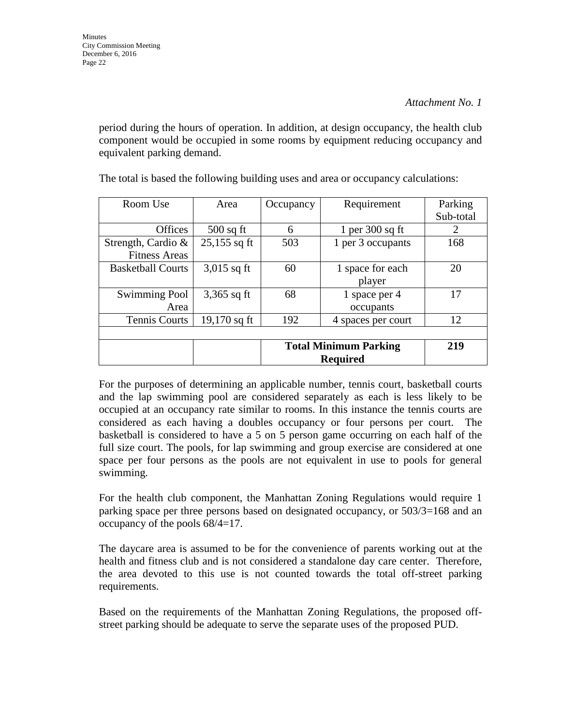period during the hours of operation. In addition, at design occupancy, the health club component would be occupied in some rooms by equipment reducing occupancy and equivalent parking demand.

| Room Use                 | Area           | Occupancy       | Requirement                  | Parking   |
|--------------------------|----------------|-----------------|------------------------------|-----------|
|                          |                |                 |                              | Sub-total |
| Offices                  | $500$ sq ft    | 6               | 1 per $300$ sq ft            | 2         |
| Strength, Cardio $\&$    | $25,155$ sq ft | 503             | 1 per 3 occupants            | 168       |
| <b>Fitness Areas</b>     |                |                 |                              |           |
| <b>Basketball Courts</b> | $3,015$ sq ft  | 60              | 1 space for each             | 20        |
|                          |                |                 | player                       |           |
| <b>Swimming Pool</b>     | $3,365$ sq ft  | 68              | 1 space per 4                | 17        |
| Area                     |                |                 | occupants                    |           |
| Tennis Courts            | 19,170 sq ft   | 192             | 4 spaces per court           | 12        |
|                          |                |                 |                              |           |
|                          |                |                 | <b>Total Minimum Parking</b> | 219       |
|                          |                | <b>Required</b> |                              |           |

The total is based the following building uses and area or occupancy calculations:

For the purposes of determining an applicable number, tennis court, basketball courts and the lap swimming pool are considered separately as each is less likely to be occupied at an occupancy rate similar to rooms. In this instance the tennis courts are considered as each having a doubles occupancy or four persons per court. The basketball is considered to have a 5 on 5 person game occurring on each half of the full size court. The pools, for lap swimming and group exercise are considered at one space per four persons as the pools are not equivalent in use to pools for general swimming.

For the health club component, the Manhattan Zoning Regulations would require 1 parking space per three persons based on designated occupancy, or 503/3=168 and an occupancy of the pools 68/4=17.

The daycare area is assumed to be for the convenience of parents working out at the health and fitness club and is not considered a standalone day care center. Therefore, the area devoted to this use is not counted towards the total off-street parking requirements.

Based on the requirements of the Manhattan Zoning Regulations, the proposed offstreet parking should be adequate to serve the separate uses of the proposed PUD.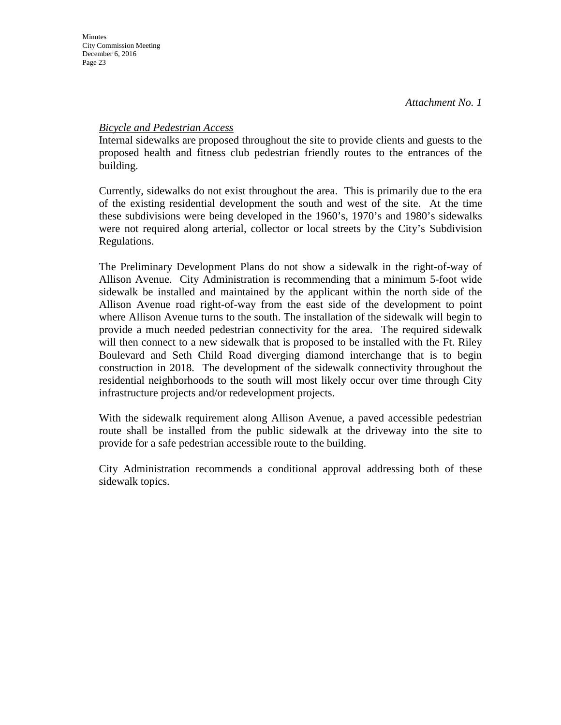#### *Bicycle and Pedestrian Access*

Internal sidewalks are proposed throughout the site to provide clients and guests to the proposed health and fitness club pedestrian friendly routes to the entrances of the building.

Currently, sidewalks do not exist throughout the area. This is primarily due to the era of the existing residential development the south and west of the site. At the time these subdivisions were being developed in the 1960's, 1970's and 1980's sidewalks were not required along arterial, collector or local streets by the City's Subdivision Regulations.

The Preliminary Development Plans do not show a sidewalk in the right-of-way of Allison Avenue. City Administration is recommending that a minimum 5-foot wide sidewalk be installed and maintained by the applicant within the north side of the Allison Avenue road right-of-way from the east side of the development to point where Allison Avenue turns to the south. The installation of the sidewalk will begin to provide a much needed pedestrian connectivity for the area. The required sidewalk will then connect to a new sidewalk that is proposed to be installed with the Ft. Riley Boulevard and Seth Child Road diverging diamond interchange that is to begin construction in 2018. The development of the sidewalk connectivity throughout the residential neighborhoods to the south will most likely occur over time through City infrastructure projects and/or redevelopment projects.

With the sidewalk requirement along Allison Avenue, a paved accessible pedestrian route shall be installed from the public sidewalk at the driveway into the site to provide for a safe pedestrian accessible route to the building.

City Administration recommends a conditional approval addressing both of these sidewalk topics.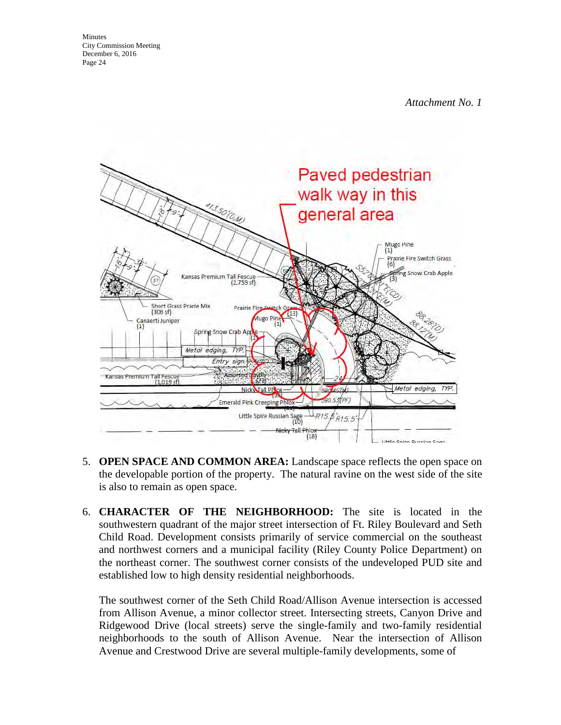

- 5. **OPEN SPACE AND COMMON AREA:** Landscape space reflects the open space on the developable portion of the property. The natural ravine on the west side of the site is also to remain as open space.
- 6. **CHARACTER OF THE NEIGHBORHOOD:** The site is located in the southwestern quadrant of the major street intersection of Ft. Riley Boulevard and Seth Child Road. Development consists primarily of service commercial on the southeast and northwest corners and a municipal facility (Riley County Police Department) on the northeast corner. The southwest corner consists of the undeveloped PUD site and established low to high density residential neighborhoods.

The southwest corner of the Seth Child Road/Allison Avenue intersection is accessed from Allison Avenue, a minor collector street. Intersecting streets, Canyon Drive and Ridgewood Drive (local streets) serve the single-family and two-family residential neighborhoods to the south of Allison Avenue. Near the intersection of Allison Avenue and Crestwood Drive are several multiple-family developments, some of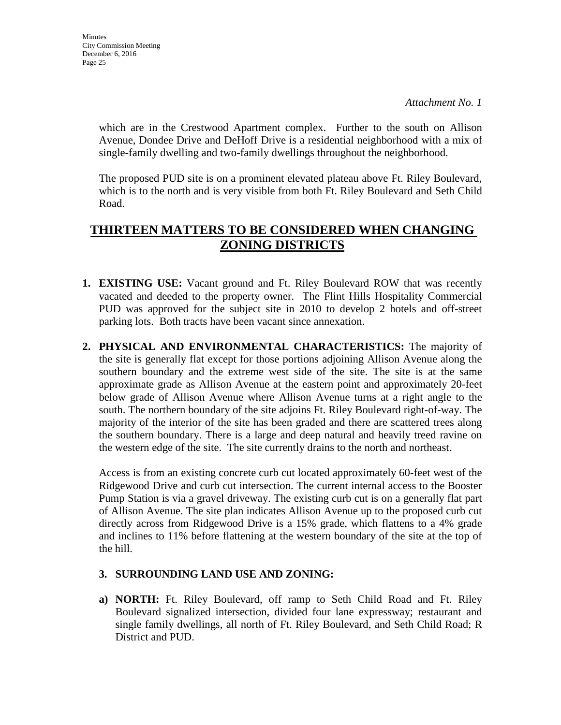which are in the Crestwood Apartment complex. Further to the south on Allison Avenue, Dondee Drive and DeHoff Drive is a residential neighborhood with a mix of single-family dwelling and two-family dwellings throughout the neighborhood.

The proposed PUD site is on a prominent elevated plateau above Ft. Riley Boulevard, which is to the north and is very visible from both Ft. Riley Boulevard and Seth Child Road.

# **THIRTEEN MATTERS TO BE CONSIDERED WHEN CHANGING ZONING DISTRICTS**

- **1. EXISTING USE:** Vacant ground and Ft. Riley Boulevard ROW that was recently vacated and deeded to the property owner. The Flint Hills Hospitality Commercial PUD was approved for the subject site in 2010 to develop 2 hotels and off-street parking lots. Both tracts have been vacant since annexation.
- **2. PHYSICAL AND ENVIRONMENTAL CHARACTERISTICS:** The majority of the site is generally flat except for those portions adjoining Allison Avenue along the southern boundary and the extreme west side of the site. The site is at the same approximate grade as Allison Avenue at the eastern point and approximately 20-feet below grade of Allison Avenue where Allison Avenue turns at a right angle to the south. The northern boundary of the site adjoins Ft. Riley Boulevard right-of-way. The majority of the interior of the site has been graded and there are scattered trees along the southern boundary. There is a large and deep natural and heavily treed ravine on the western edge of the site. The site currently drains to the north and northeast.

Access is from an existing concrete curb cut located approximately 60-feet west of the Ridgewood Drive and curb cut intersection. The current internal access to the Booster Pump Station is via a gravel driveway. The existing curb cut is on a generally flat part of Allison Avenue. The site plan indicates Allison Avenue up to the proposed curb cut directly across from Ridgewood Drive is a 15% grade, which flattens to a 4% grade and inclines to 11% before flattening at the western boundary of the site at the top of the hill.

#### **3. SURROUNDING LAND USE AND ZONING:**

**a) NORTH:** Ft. Riley Boulevard, off ramp to Seth Child Road and Ft. Riley Boulevard signalized intersection, divided four lane expressway; restaurant and single family dwellings, all north of Ft. Riley Boulevard, and Seth Child Road; R District and PUD.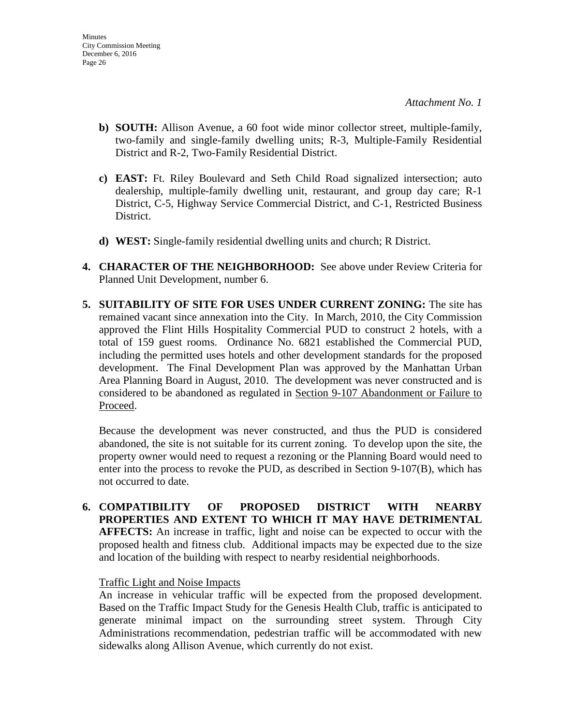- **b) SOUTH:** Allison Avenue, a 60 foot wide minor collector street, multiple-family, two-family and single-family dwelling units; R-3, Multiple-Family Residential District and R-2, Two-Family Residential District.
- **c) EAST:** Ft. Riley Boulevard and Seth Child Road signalized intersection; auto dealership, multiple-family dwelling unit, restaurant, and group day care; R-1 District, C-5, Highway Service Commercial District, and C-1, Restricted Business District.
- **d) WEST:** Single-family residential dwelling units and church; R District.
- **4. CHARACTER OF THE NEIGHBORHOOD:** See above under Review Criteria for Planned Unit Development, number 6.
- **5. SUITABILITY OF SITE FOR USES UNDER CURRENT ZONING:** The site has remained vacant since annexation into the City. In March, 2010, the City Commission approved the Flint Hills Hospitality Commercial PUD to construct 2 hotels, with a total of 159 guest rooms. Ordinance No. 6821 established the Commercial PUD, including the permitted uses hotels and other development standards for the proposed development. The Final Development Plan was approved by the Manhattan Urban Area Planning Board in August, 2010. The development was never constructed and is considered to be abandoned as regulated in Section 9-107 Abandonment or Failure to Proceed.

Because the development was never constructed, and thus the PUD is considered abandoned, the site is not suitable for its current zoning. To develop upon the site, the property owner would need to request a rezoning or the Planning Board would need to enter into the process to revoke the PUD, as described in Section 9-107(B), which has not occurred to date.

**6. COMPATIBILITY OF PROPOSED DISTRICT WITH NEARBY PROPERTIES AND EXTENT TO WHICH IT MAY HAVE DETRIMENTAL AFFECTS:** An increase in traffic, light and noise can be expected to occur with the proposed health and fitness club. Additional impacts may be expected due to the size and location of the building with respect to nearby residential neighborhoods.

#### Traffic Light and Noise Impacts

An increase in vehicular traffic will be expected from the proposed development. Based on the Traffic Impact Study for the Genesis Health Club, traffic is anticipated to generate minimal impact on the surrounding street system. Through City Administrations recommendation, pedestrian traffic will be accommodated with new sidewalks along Allison Avenue, which currently do not exist.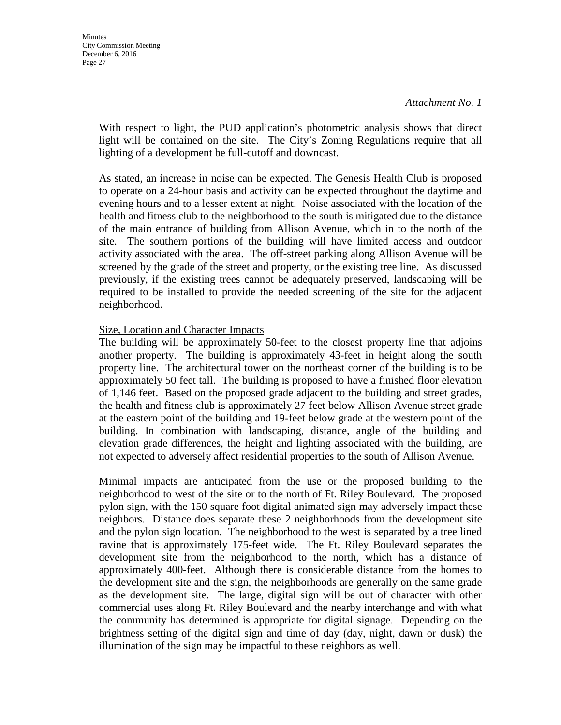With respect to light, the PUD application's photometric analysis shows that direct light will be contained on the site. The City's Zoning Regulations require that all lighting of a development be full-cutoff and downcast.

As stated, an increase in noise can be expected. The Genesis Health Club is proposed to operate on a 24-hour basis and activity can be expected throughout the daytime and evening hours and to a lesser extent at night. Noise associated with the location of the health and fitness club to the neighborhood to the south is mitigated due to the distance of the main entrance of building from Allison Avenue, which in to the north of the site. The southern portions of the building will have limited access and outdoor activity associated with the area. The off-street parking along Allison Avenue will be screened by the grade of the street and property, or the existing tree line. As discussed previously, if the existing trees cannot be adequately preserved, landscaping will be required to be installed to provide the needed screening of the site for the adjacent neighborhood.

#### Size, Location and Character Impacts

The building will be approximately 50-feet to the closest property line that adjoins another property. The building is approximately 43-feet in height along the south property line. The architectural tower on the northeast corner of the building is to be approximately 50 feet tall. The building is proposed to have a finished floor elevation of 1,146 feet. Based on the proposed grade adjacent to the building and street grades, the health and fitness club is approximately 27 feet below Allison Avenue street grade at the eastern point of the building and 19-feet below grade at the western point of the building. In combination with landscaping, distance, angle of the building and elevation grade differences, the height and lighting associated with the building, are not expected to adversely affect residential properties to the south of Allison Avenue.

Minimal impacts are anticipated from the use or the proposed building to the neighborhood to west of the site or to the north of Ft. Riley Boulevard. The proposed pylon sign, with the 150 square foot digital animated sign may adversely impact these neighbors. Distance does separate these 2 neighborhoods from the development site and the pylon sign location. The neighborhood to the west is separated by a tree lined ravine that is approximately 175-feet wide. The Ft. Riley Boulevard separates the development site from the neighborhood to the north, which has a distance of approximately 400-feet. Although there is considerable distance from the homes to the development site and the sign, the neighborhoods are generally on the same grade as the development site. The large, digital sign will be out of character with other commercial uses along Ft. Riley Boulevard and the nearby interchange and with what the community has determined is appropriate for digital signage. Depending on the brightness setting of the digital sign and time of day (day, night, dawn or dusk) the illumination of the sign may be impactful to these neighbors as well.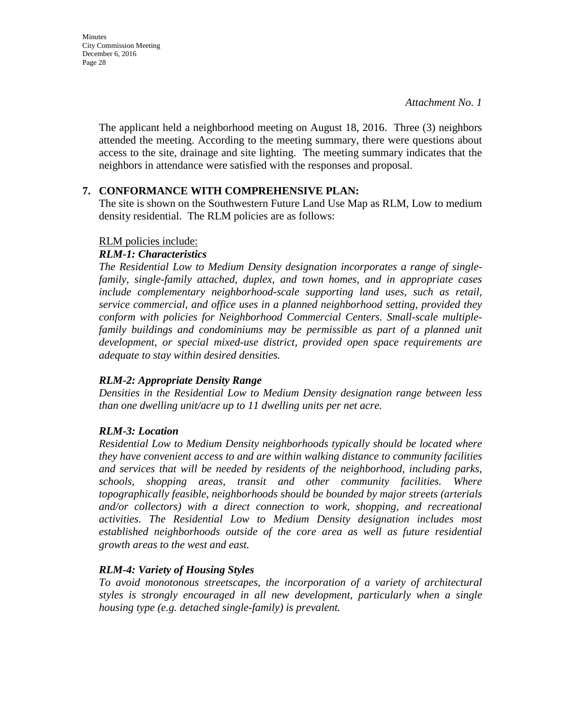**Minutes** City Commission Meeting December 6, 2016 Page 28

> The applicant held a neighborhood meeting on August 18, 2016. Three (3) neighbors attended the meeting. According to the meeting summary, there were questions about access to the site, drainage and site lighting. The meeting summary indicates that the neighbors in attendance were satisfied with the responses and proposal.

#### **7. CONFORMANCE WITH COMPREHENSIVE PLAN:**

The site is shown on the Southwestern Future Land Use Map as RLM, Low to medium density residential. The RLM policies are as follows:

#### RLM policies include:

#### *RLM-1: Characteristics*

*The Residential Low to Medium Density designation incorporates a range of singlefamily, single-family attached, duplex, and town homes, and in appropriate cases include complementary neighborhood-scale supporting land uses, such as retail, service commercial, and office uses in a planned neighborhood setting, provided they conform with policies for Neighborhood Commercial Centers. Small-scale multiplefamily buildings and condominiums may be permissible as part of a planned unit development, or special mixed-use district, provided open space requirements are adequate to stay within desired densities.* 

#### *RLM-2: Appropriate Density Range*

*Densities in the Residential Low to Medium Density designation range between less than one dwelling unit/acre up to 11 dwelling units per net acre.* 

#### *RLM-3: Location*

*Residential Low to Medium Density neighborhoods typically should be located where they have convenient access to and are within walking distance to community facilities and services that will be needed by residents of the neighborhood, including parks, schools, shopping areas, transit and other community facilities. Where topographically feasible, neighborhoods should be bounded by major streets (arterials and/or collectors) with a direct connection to work, shopping, and recreational activities. The Residential Low to Medium Density designation includes most established neighborhoods outside of the core area as well as future residential growth areas to the west and east.* 

#### *RLM-4: Variety of Housing Styles*

*To avoid monotonous streetscapes, the incorporation of a variety of architectural styles is strongly encouraged in all new development, particularly when a single housing type (e.g. detached single-family) is prevalent.*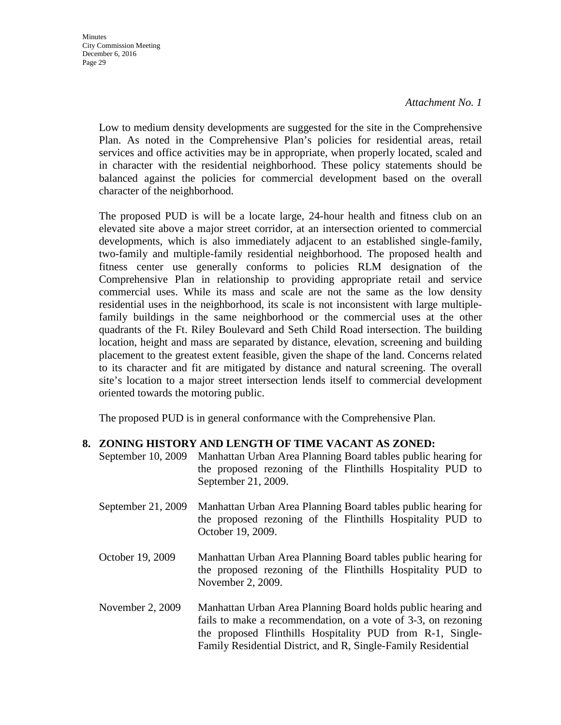**Minutes** City Commission Meeting December 6, 2016 Page 29

*Attachment No. 1* 

Low to medium density developments are suggested for the site in the Comprehensive Plan. As noted in the Comprehensive Plan's policies for residential areas, retail services and office activities may be in appropriate, when properly located, scaled and in character with the residential neighborhood. These policy statements should be balanced against the policies for commercial development based on the overall character of the neighborhood.

The proposed PUD is will be a locate large, 24-hour health and fitness club on an elevated site above a major street corridor, at an intersection oriented to commercial developments, which is also immediately adjacent to an established single-family, two-family and multiple-family residential neighborhood. The proposed health and fitness center use generally conforms to policies RLM designation of the Comprehensive Plan in relationship to providing appropriate retail and service commercial uses. While its mass and scale are not the same as the low density residential uses in the neighborhood, its scale is not inconsistent with large multiplefamily buildings in the same neighborhood or the commercial uses at the other quadrants of the Ft. Riley Boulevard and Seth Child Road intersection. The building location, height and mass are separated by distance, elevation, screening and building placement to the greatest extent feasible, given the shape of the land. Concerns related to its character and fit are mitigated by distance and natural screening. The overall site's location to a major street intersection lends itself to commercial development oriented towards the motoring public.

The proposed PUD is in general conformance with the Comprehensive Plan.

#### **8. ZONING HISTORY AND LENGTH OF TIME VACANT AS ZONED:**

- September 10, 2009 Manhattan Urban Area Planning Board tables public hearing for the proposed rezoning of the Flinthills Hospitality PUD to September 21, 2009.
- September 21, 2009 Manhattan Urban Area Planning Board tables public hearing for the proposed rezoning of the Flinthills Hospitality PUD to October 19, 2009.
- October 19, 2009 Manhattan Urban Area Planning Board tables public hearing for the proposed rezoning of the Flinthills Hospitality PUD to November 2, 2009.
- November 2, 2009 Manhattan Urban Area Planning Board holds public hearing and fails to make a recommendation, on a vote of 3-3, on rezoning the proposed Flinthills Hospitality PUD from R-1, Single-Family Residential District, and R, Single-Family Residential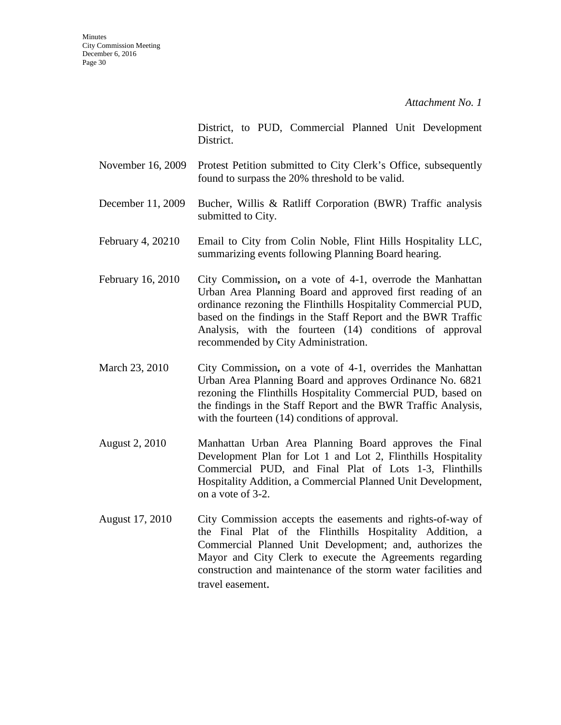District, to PUD, Commercial Planned Unit Development District.

- November 16, 2009 Protest Petition submitted to City Clerk's Office, subsequently found to surpass the 20% threshold to be valid.
- December 11, 2009 Bucher, Willis & Ratliff Corporation (BWR) Traffic analysis submitted to City.
- February 4, 20210 Email to City from Colin Noble, Flint Hills Hospitality LLC, summarizing events following Planning Board hearing.
- February 16, 2010 City Commission, on a vote of 4-1, overrode the Manhattan Urban Area Planning Board and approved first reading of an ordinance rezoning the Flinthills Hospitality Commercial PUD, based on the findings in the Staff Report and the BWR Traffic Analysis, with the fourteen (14) conditions of approval recommended by City Administration.
- March 23, 2010 City Commission**,** on a vote of 4-1, overrides the Manhattan Urban Area Planning Board and approves Ordinance No. 6821 rezoning the Flinthills Hospitality Commercial PUD, based on the findings in the Staff Report and the BWR Traffic Analysis, with the fourteen (14) conditions of approval.
- August 2, 2010 Manhattan Urban Area Planning Board approves the Final Development Plan for Lot 1 and Lot 2, Flinthills Hospitality Commercial PUD, and Final Plat of Lots 1-3, Flinthills Hospitality Addition, a Commercial Planned Unit Development, on a vote of 3-2.
- August 17, 2010 City Commission accepts the easements and rights-of-way of the Final Plat of the Flinthills Hospitality Addition, a Commercial Planned Unit Development; and, authorizes the Mayor and City Clerk to execute the Agreements regarding construction and maintenance of the storm water facilities and travel easement.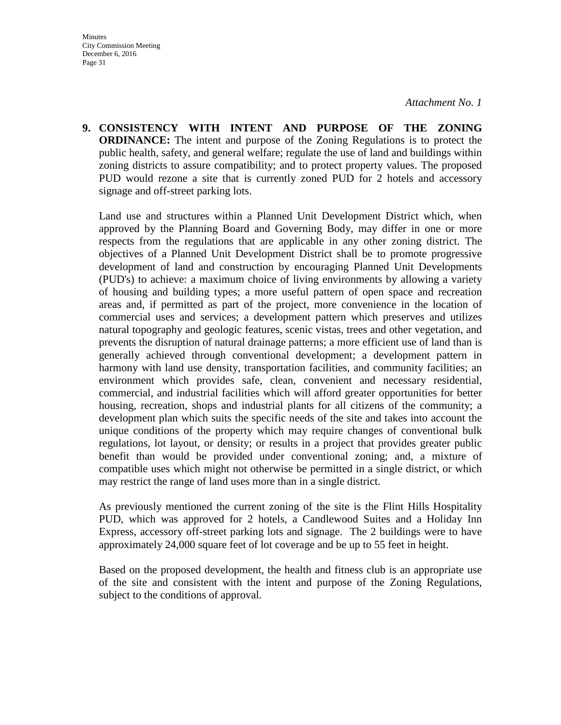**9. CONSISTENCY WITH INTENT AND PURPOSE OF THE ZONING ORDINANCE:** The intent and purpose of the Zoning Regulations is to protect the public health, safety, and general welfare; regulate the use of land and buildings within zoning districts to assure compatibility; and to protect property values. The proposed PUD would rezone a site that is currently zoned PUD for 2 hotels and accessory signage and off-street parking lots.

Land use and structures within a Planned Unit Development District which, when approved by the Planning Board and Governing Body, may differ in one or more respects from the regulations that are applicable in any other zoning district. The objectives of a Planned Unit Development District shall be to promote progressive development of land and construction by encouraging Planned Unit Developments (PUD's) to achieve: a maximum choice of living environments by allowing a variety of housing and building types; a more useful pattern of open space and recreation areas and, if permitted as part of the project, more convenience in the location of commercial uses and services; a development pattern which preserves and utilizes natural topography and geologic features, scenic vistas, trees and other vegetation, and prevents the disruption of natural drainage patterns; a more efficient use of land than is generally achieved through conventional development; a development pattern in harmony with land use density, transportation facilities, and community facilities; an environment which provides safe, clean, convenient and necessary residential, commercial, and industrial facilities which will afford greater opportunities for better housing, recreation, shops and industrial plants for all citizens of the community; a development plan which suits the specific needs of the site and takes into account the unique conditions of the property which may require changes of conventional bulk regulations, lot layout, or density; or results in a project that provides greater public benefit than would be provided under conventional zoning; and, a mixture of compatible uses which might not otherwise be permitted in a single district, or which may restrict the range of land uses more than in a single district.

As previously mentioned the current zoning of the site is the Flint Hills Hospitality PUD, which was approved for 2 hotels, a Candlewood Suites and a Holiday Inn Express, accessory off-street parking lots and signage. The 2 buildings were to have approximately 24,000 square feet of lot coverage and be up to 55 feet in height.

Based on the proposed development, the health and fitness club is an appropriate use of the site and consistent with the intent and purpose of the Zoning Regulations, subject to the conditions of approval.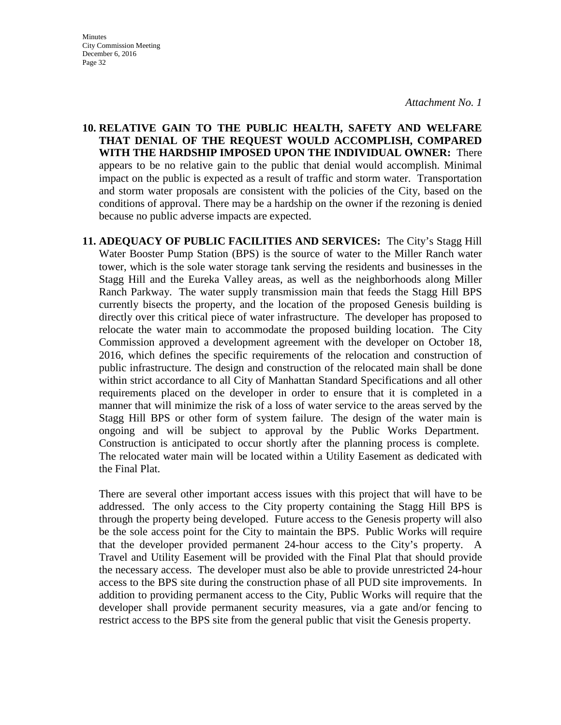**Minutes** City Commission Meeting December 6, 2016 Page 32

**10. RELATIVE GAIN TO THE PUBLIC HEALTH, SAFETY AND WELFARE THAT DENIAL OF THE REQUEST WOULD ACCOMPLISH, COMPARED WITH THE HARDSHIP IMPOSED UPON THE INDIVIDUAL OWNER:** There appears to be no relative gain to the public that denial would accomplish. Minimal impact on the public is expected as a result of traffic and storm water. Transportation and storm water proposals are consistent with the policies of the City, based on the conditions of approval. There may be a hardship on the owner if the rezoning is denied because no public adverse impacts are expected.

**11. ADEQUACY OF PUBLIC FACILITIES AND SERVICES:** The City's Stagg Hill Water Booster Pump Station (BPS) is the source of water to the Miller Ranch water tower, which is the sole water storage tank serving the residents and businesses in the Stagg Hill and the Eureka Valley areas, as well as the neighborhoods along Miller Ranch Parkway. The water supply transmission main that feeds the Stagg Hill BPS currently bisects the property, and the location of the proposed Genesis building is directly over this critical piece of water infrastructure. The developer has proposed to relocate the water main to accommodate the proposed building location. The City Commission approved a development agreement with the developer on October 18, 2016, which defines the specific requirements of the relocation and construction of public infrastructure. The design and construction of the relocated main shall be done within strict accordance to all City of Manhattan Standard Specifications and all other requirements placed on the developer in order to ensure that it is completed in a manner that will minimize the risk of a loss of water service to the areas served by the Stagg Hill BPS or other form of system failure. The design of the water main is ongoing and will be subject to approval by the Public Works Department. Construction is anticipated to occur shortly after the planning process is complete. The relocated water main will be located within a Utility Easement as dedicated with the Final Plat.

There are several other important access issues with this project that will have to be addressed. The only access to the City property containing the Stagg Hill BPS is through the property being developed. Future access to the Genesis property will also be the sole access point for the City to maintain the BPS. Public Works will require that the developer provided permanent 24-hour access to the City's property. A Travel and Utility Easement will be provided with the Final Plat that should provide the necessary access. The developer must also be able to provide unrestricted 24-hour access to the BPS site during the construction phase of all PUD site improvements. In addition to providing permanent access to the City, Public Works will require that the developer shall provide permanent security measures, via a gate and/or fencing to restrict access to the BPS site from the general public that visit the Genesis property.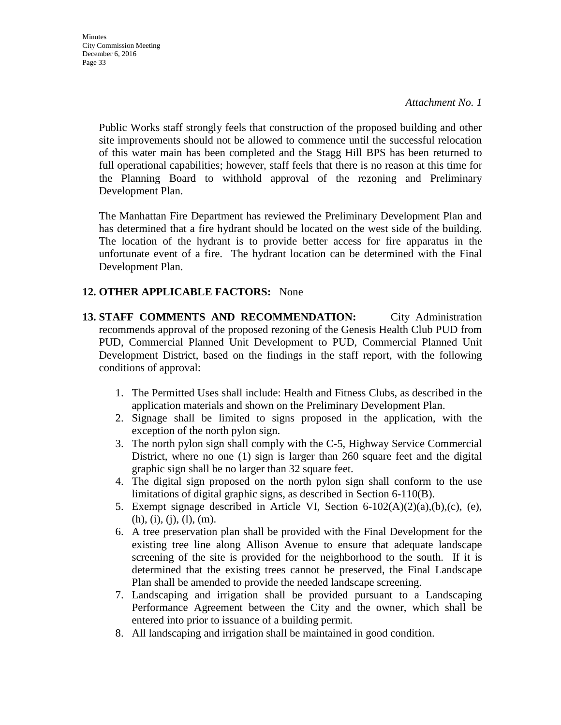**Minutes** City Commission Meeting December 6, 2016 Page 33

> Public Works staff strongly feels that construction of the proposed building and other site improvements should not be allowed to commence until the successful relocation of this water main has been completed and the Stagg Hill BPS has been returned to full operational capabilities; however, staff feels that there is no reason at this time for the Planning Board to withhold approval of the rezoning and Preliminary Development Plan.

> The Manhattan Fire Department has reviewed the Preliminary Development Plan and has determined that a fire hydrant should be located on the west side of the building. The location of the hydrant is to provide better access for fire apparatus in the unfortunate event of a fire. The hydrant location can be determined with the Final Development Plan.

#### **12. OTHER APPLICABLE FACTORS:** None

- **13. STAFF COMMENTS AND RECOMMENDATION:** City Administration recommends approval of the proposed rezoning of the Genesis Health Club PUD from PUD, Commercial Planned Unit Development to PUD, Commercial Planned Unit Development District, based on the findings in the staff report, with the following conditions of approval:
	- 1. The Permitted Uses shall include: Health and Fitness Clubs, as described in the application materials and shown on the Preliminary Development Plan.
	- 2. Signage shall be limited to signs proposed in the application, with the exception of the north pylon sign.
	- 3. The north pylon sign shall comply with the C-5, Highway Service Commercial District, where no one (1) sign is larger than 260 square feet and the digital graphic sign shall be no larger than 32 square feet.
	- 4. The digital sign proposed on the north pylon sign shall conform to the use limitations of digital graphic signs, as described in Section 6-110(B).
	- 5. Exempt signage described in Article VI, Section 6-102(A)(2)(a),(b),(c), (e),  $(h), (i), (j), (l), (m).$
	- 6. A tree preservation plan shall be provided with the Final Development for the existing tree line along Allison Avenue to ensure that adequate landscape screening of the site is provided for the neighborhood to the south. If it is determined that the existing trees cannot be preserved, the Final Landscape Plan shall be amended to provide the needed landscape screening.
	- 7. Landscaping and irrigation shall be provided pursuant to a Landscaping Performance Agreement between the City and the owner, which shall be entered into prior to issuance of a building permit.
	- 8. All landscaping and irrigation shall be maintained in good condition.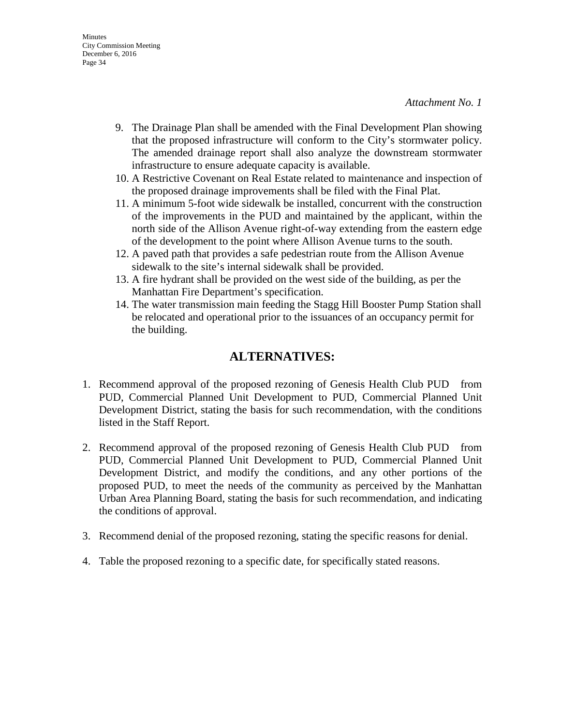- 9. The Drainage Plan shall be amended with the Final Development Plan showing that the proposed infrastructure will conform to the City's stormwater policy. The amended drainage report shall also analyze the downstream stormwater infrastructure to ensure adequate capacity is available.
- 10. A Restrictive Covenant on Real Estate related to maintenance and inspection of the proposed drainage improvements shall be filed with the Final Plat.
- 11. A minimum 5-foot wide sidewalk be installed, concurrent with the construction of the improvements in the PUD and maintained by the applicant, within the north side of the Allison Avenue right-of-way extending from the eastern edge of the development to the point where Allison Avenue turns to the south.
- 12. A paved path that provides a safe pedestrian route from the Allison Avenue sidewalk to the site's internal sidewalk shall be provided.
- 13. A fire hydrant shall be provided on the west side of the building, as per the Manhattan Fire Department's specification.
- 14. The water transmission main feeding the Stagg Hill Booster Pump Station shall be relocated and operational prior to the issuances of an occupancy permit for the building.

# **ALTERNATIVES:**

- 1. Recommend approval of the proposed rezoning of Genesis Health Club PUD from PUD, Commercial Planned Unit Development to PUD, Commercial Planned Unit Development District, stating the basis for such recommendation, with the conditions listed in the Staff Report.
- 2. Recommend approval of the proposed rezoning of Genesis Health Club PUD from PUD, Commercial Planned Unit Development to PUD, Commercial Planned Unit Development District, and modify the conditions, and any other portions of the proposed PUD, to meet the needs of the community as perceived by the Manhattan Urban Area Planning Board, stating the basis for such recommendation, and indicating the conditions of approval.
- 3. Recommend denial of the proposed rezoning, stating the specific reasons for denial.
- 4. Table the proposed rezoning to a specific date, for specifically stated reasons.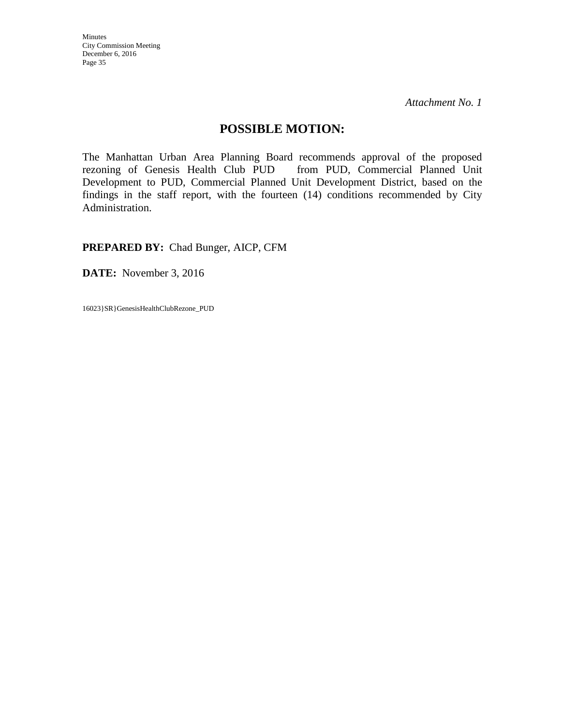Minutes City Commission Meeting December 6, 2016 Page 35

*Attachment No. 1* 

#### **POSSIBLE MOTION:**

The Manhattan Urban Area Planning Board recommends approval of the proposed rezoning of Genesis Health Club PUD from PUD, Commercial Planned Unit Development to PUD, Commercial Planned Unit Development District, based on the findings in the staff report, with the fourteen (14) conditions recommended by City Administration.

**PREPARED BY:** Chad Bunger, AICP, CFM

**DATE:** November 3, 2016

16023}SR}GenesisHealthClubRezone\_PUD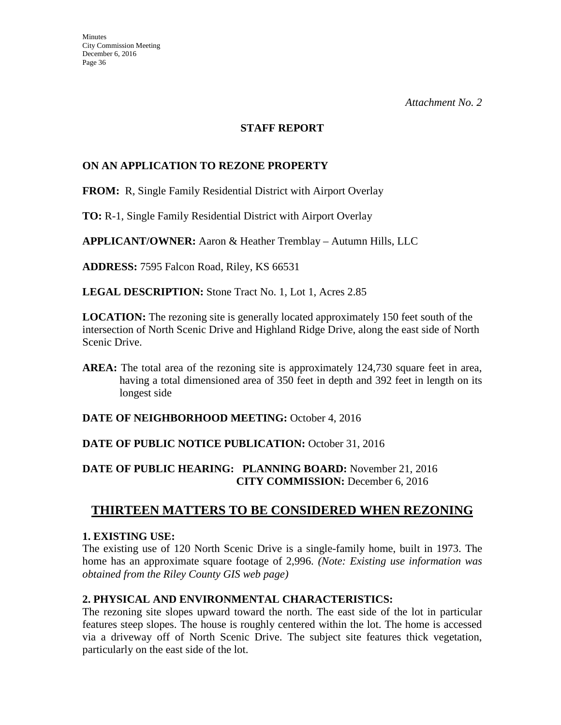#### **STAFF REPORT**

#### **ON AN APPLICATION TO REZONE PROPERTY**

**FROM:** R, Single Family Residential District with Airport Overlay

**TO:** R-1, Single Family Residential District with Airport Overlay

**APPLICANT/OWNER:** Aaron & Heather Tremblay – Autumn Hills, LLC

**ADDRESS:** 7595 Falcon Road, Riley, KS 66531

**LEGAL DESCRIPTION:** Stone Tract No. 1, Lot 1, Acres 2.85

**LOCATION:** The rezoning site is generally located approximately 150 feet south of the intersection of North Scenic Drive and Highland Ridge Drive, along the east side of North Scenic Drive.

**AREA:** The total area of the rezoning site is approximately 124,730 square feet in area, having a total dimensioned area of 350 feet in depth and 392 feet in length on its longest side

**DATE OF NEIGHBORHOOD MEETING:** October 4, 2016

#### DATE OF PUBLIC NOTICE PUBLICATION: October 31, 2016

#### **DATE OF PUBLIC HEARING: PLANNING BOARD:** November 21, 2016 **CITY COMMISSION:** December 6, 2016

## **THIRTEEN MATTERS TO BE CONSIDERED WHEN REZONING**

#### **1. EXISTING USE:**

The existing use of 120 North Scenic Drive is a single-family home, built in 1973. The home has an approximate square footage of 2,996. *(Note: Existing use information was obtained from the Riley County GIS web page)*

#### **2. PHYSICAL AND ENVIRONMENTAL CHARACTERISTICS:**

The rezoning site slopes upward toward the north. The east side of the lot in particular features steep slopes. The house is roughly centered within the lot. The home is accessed via a driveway off of North Scenic Drive. The subject site features thick vegetation, particularly on the east side of the lot.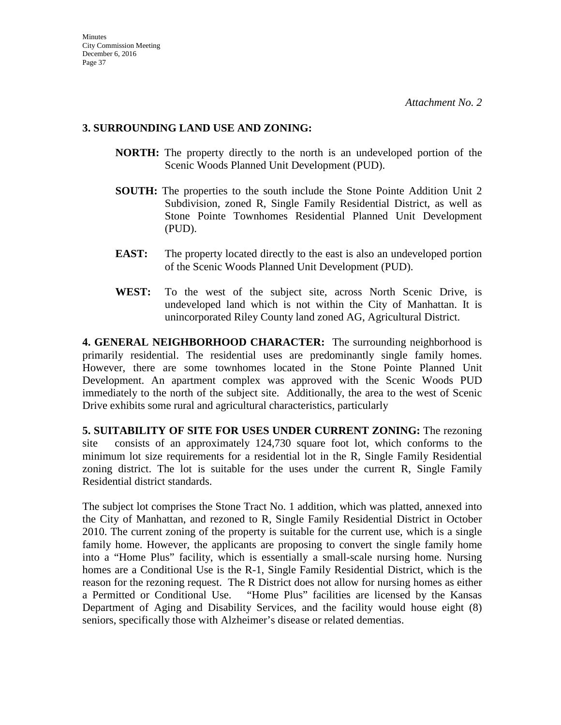#### **3. SURROUNDING LAND USE AND ZONING:**

- **NORTH:** The property directly to the north is an undeveloped portion of the Scenic Woods Planned Unit Development (PUD).
- **SOUTH:** The properties to the south include the Stone Pointe Addition Unit 2 Subdivision, zoned R, Single Family Residential District, as well as Stone Pointe Townhomes Residential Planned Unit Development (PUD).
- **EAST:** The property located directly to the east is also an undeveloped portion of the Scenic Woods Planned Unit Development (PUD).
- **WEST:** To the west of the subject site, across North Scenic Drive, is undeveloped land which is not within the City of Manhattan. It is unincorporated Riley County land zoned AG, Agricultural District.

**4. GENERAL NEIGHBORHOOD CHARACTER:** The surrounding neighborhood is primarily residential. The residential uses are predominantly single family homes. However, there are some townhomes located in the Stone Pointe Planned Unit Development. An apartment complex was approved with the Scenic Woods PUD immediately to the north of the subject site. Additionally, the area to the west of Scenic Drive exhibits some rural and agricultural characteristics, particularly

**5. SUITABILITY OF SITE FOR USES UNDER CURRENT ZONING:** The rezoning site consists of an approximately 124,730 square foot lot, which conforms to the minimum lot size requirements for a residential lot in the R, Single Family Residential zoning district. The lot is suitable for the uses under the current R, Single Family Residential district standards.

The subject lot comprises the Stone Tract No. 1 addition, which was platted, annexed into the City of Manhattan, and rezoned to R, Single Family Residential District in October 2010. The current zoning of the property is suitable for the current use, which is a single family home. However, the applicants are proposing to convert the single family home into a "Home Plus" facility, which is essentially a small-scale nursing home. Nursing homes are a Conditional Use is the R-1, Single Family Residential District, which is the reason for the rezoning request. The R District does not allow for nursing homes as either a Permitted or Conditional Use. "Home Plus" facilities are licensed by the Kansas Department of Aging and Disability Services, and the facility would house eight (8) seniors, specifically those with Alzheimer's disease or related dementias.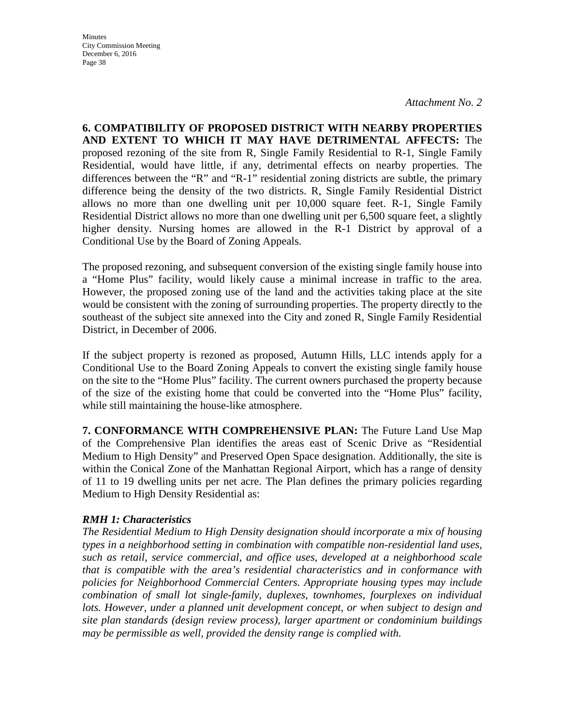**Minutes** City Commission Meeting December 6, 2016 Page 38

*Attachment No. 2* 

**6. COMPATIBILITY OF PROPOSED DISTRICT WITH NEARBY PROPERTIES AND EXTENT TO WHICH IT MAY HAVE DETRIMENTAL AFFECTS:** The proposed rezoning of the site from R, Single Family Residential to R-1, Single Family Residential, would have little, if any, detrimental effects on nearby properties. The differences between the "R" and "R-1" residential zoning districts are subtle, the primary difference being the density of the two districts. R, Single Family Residential District allows no more than one dwelling unit per 10,000 square feet. R-1, Single Family Residential District allows no more than one dwelling unit per 6,500 square feet, a slightly higher density. Nursing homes are allowed in the R-1 District by approval of a Conditional Use by the Board of Zoning Appeals.

The proposed rezoning, and subsequent conversion of the existing single family house into a "Home Plus" facility, would likely cause a minimal increase in traffic to the area. However, the proposed zoning use of the land and the activities taking place at the site would be consistent with the zoning of surrounding properties. The property directly to the southeast of the subject site annexed into the City and zoned R, Single Family Residential District, in December of 2006.

If the subject property is rezoned as proposed, Autumn Hills, LLC intends apply for a Conditional Use to the Board Zoning Appeals to convert the existing single family house on the site to the "Home Plus" facility. The current owners purchased the property because of the size of the existing home that could be converted into the "Home Plus" facility, while still maintaining the house-like atmosphere.

**7. CONFORMANCE WITH COMPREHENSIVE PLAN:** The Future Land Use Map of the Comprehensive Plan identifies the areas east of Scenic Drive as "Residential Medium to High Density" and Preserved Open Space designation. Additionally, the site is within the Conical Zone of the Manhattan Regional Airport, which has a range of density of 11 to 19 dwelling units per net acre. The Plan defines the primary policies regarding Medium to High Density Residential as:

#### *RMH 1: Characteristics*

*The Residential Medium to High Density designation should incorporate a mix of housing types in a neighborhood setting in combination with compatible non-residential land uses, such as retail, service commercial, and office uses, developed at a neighborhood scale that is compatible with the area's residential characteristics and in conformance with policies for Neighborhood Commercial Centers. Appropriate housing types may include combination of small lot single-family, duplexes, townhomes, fourplexes on individual lots. However, under a planned unit development concept, or when subject to design and site plan standards (design review process), larger apartment or condominium buildings may be permissible as well, provided the density range is complied with.*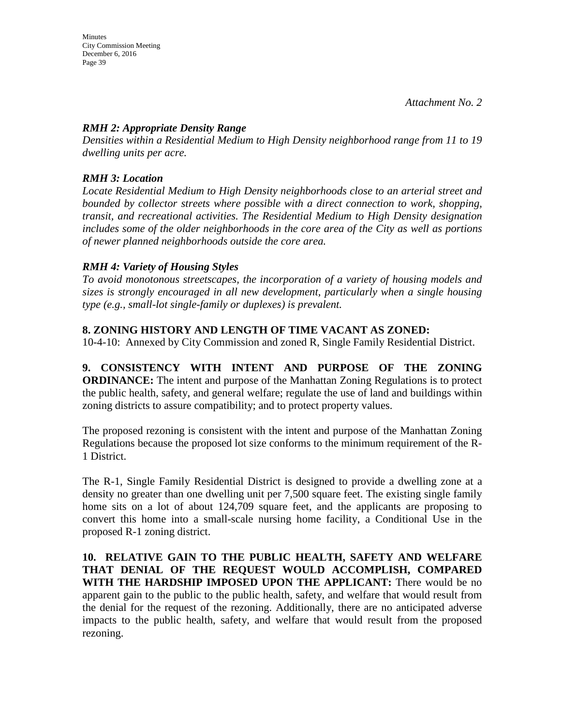#### *RMH 2: Appropriate Density Range*

*Densities within a Residential Medium to High Density neighborhood range from 11 to 19 dwelling units per acre.* 

### *RMH 3: Location*

*Locate Residential Medium to High Density neighborhoods close to an arterial street and bounded by collector streets where possible with a direct connection to work, shopping, transit, and recreational activities. The Residential Medium to High Density designation includes some of the older neighborhoods in the core area of the City as well as portions of newer planned neighborhoods outside the core area.* 

#### *RMH 4: Variety of Housing Styles*

*To avoid monotonous streetscapes, the incorporation of a variety of housing models and sizes is strongly encouraged in all new development, particularly when a single housing type (e.g., small-lot single-family or duplexes) is prevalent.* 

#### **8. ZONING HISTORY AND LENGTH OF TIME VACANT AS ZONED:**

10-4-10: Annexed by City Commission and zoned R, Single Family Residential District.

**9. CONSISTENCY WITH INTENT AND PURPOSE OF THE ZONING ORDINANCE:** The intent and purpose of the Manhattan Zoning Regulations is to protect the public health, safety, and general welfare; regulate the use of land and buildings within zoning districts to assure compatibility; and to protect property values.

The proposed rezoning is consistent with the intent and purpose of the Manhattan Zoning Regulations because the proposed lot size conforms to the minimum requirement of the R-1 District.

The R-1, Single Family Residential District is designed to provide a dwelling zone at a density no greater than one dwelling unit per 7,500 square feet. The existing single family home sits on a lot of about 124,709 square feet, and the applicants are proposing to convert this home into a small-scale nursing home facility, a Conditional Use in the proposed R-1 zoning district.

**10. RELATIVE GAIN TO THE PUBLIC HEALTH, SAFETY AND WELFARE THAT DENIAL OF THE REQUEST WOULD ACCOMPLISH, COMPARED WITH THE HARDSHIP IMPOSED UPON THE APPLICANT:** There would be no apparent gain to the public to the public health, safety, and welfare that would result from the denial for the request of the rezoning. Additionally, there are no anticipated adverse impacts to the public health, safety, and welfare that would result from the proposed rezoning.